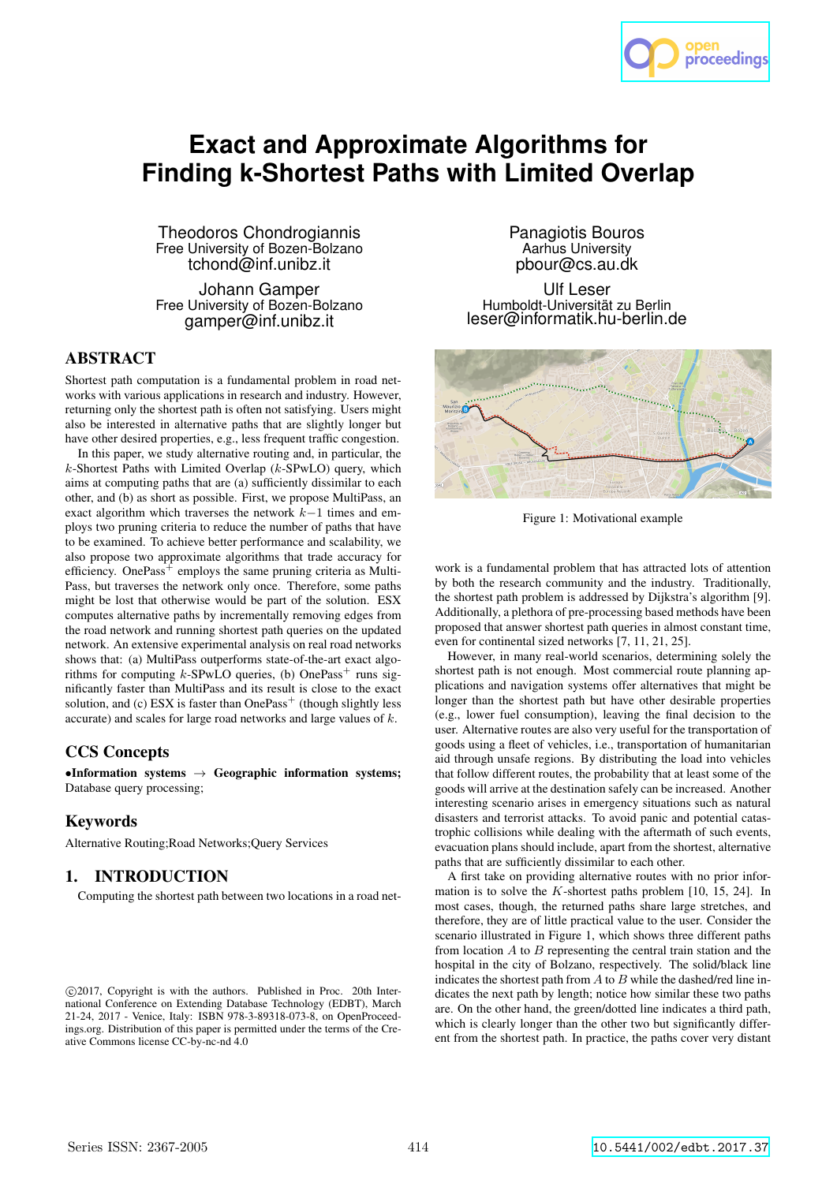# proceedings

## **Exact and Approximate Algorithms for Finding k-Shortest Paths with Limited Overlap**

Theodoros Chondrogiannis Free University of Bozen-Bolzano tchond@inf.unibz.it

Johann Gamper Free University of Bozen-Bolzano gamper@inf.unibz.it

## ABSTRACT

Shortest path computation is a fundamental problem in road networks with various applications in research and industry. However, returning only the shortest path is often not satisfying. Users might also be interested in alternative paths that are slightly longer but have other desired properties, e.g., less frequent traffic congestion.

In this paper, we study alternative routing and, in particular, the k-Shortest Paths with Limited Overlap (k-SPwLO) query, which aims at computing paths that are (a) sufficiently dissimilar to each other, and (b) as short as possible. First, we propose MultiPass, an exact algorithm which traverses the network k−1 times and employs two pruning criteria to reduce the number of paths that have to be examined. To achieve better performance and scalability, we also propose two approximate algorithms that trade accuracy for efficiency. One $Pass^+$  employs the same pruning criteria as Multi-Pass, but traverses the network only once. Therefore, some paths might be lost that otherwise would be part of the solution. ESX computes alternative paths by incrementally removing edges from the road network and running shortest path queries on the updated network. An extensive experimental analysis on real road networks shows that: (a) MultiPass outperforms state-of-the-art exact algorithms for computing  $k$ -SPwLO queries, (b) OnePass<sup>+</sup> runs significantly faster than MultiPass and its result is close to the exact solution, and (c) ESX is faster than  $OnePass<sup>+</sup>$  (though slightly less accurate) and scales for large road networks and large values of k.

## CCS Concepts

 $\bullet$ Information systems  $\to$  Geographic information systems; Database query processing;

## Keywords

Alternative Routing;Road Networks;Query Services

## 1. INTRODUCTION

Computing the shortest path between two locations in a road net-

Panagiotis Bouros Aarhus University pbour@cs.au.dk

Ulf Leser Humboldt-Universität zu Berlin leser@informatik.hu-berlin.de



Figure 1: Motivational example

work is a fundamental problem that has attracted lots of attention by both the research community and the industry. Traditionally, the shortest path problem is addressed by Dijkstra's algorithm [9]. Additionally, a plethora of pre-processing based methods have been proposed that answer shortest path queries in almost constant time, even for continental sized networks [7, 11, 21, 25].

However, in many real-world scenarios, determining solely the shortest path is not enough. Most commercial route planning applications and navigation systems offer alternatives that might be longer than the shortest path but have other desirable properties (e.g., lower fuel consumption), leaving the final decision to the user. Alternative routes are also very useful for the transportation of goods using a fleet of vehicles, i.e., transportation of humanitarian aid through unsafe regions. By distributing the load into vehicles that follow different routes, the probability that at least some of the goods will arrive at the destination safely can be increased. Another interesting scenario arises in emergency situations such as natural disasters and terrorist attacks. To avoid panic and potential catastrophic collisions while dealing with the aftermath of such events, evacuation plans should include, apart from the shortest, alternative paths that are sufficiently dissimilar to each other.

A first take on providing alternative routes with no prior information is to solve the  $K$ -shortest paths problem [10, 15, 24]. In most cases, though, the returned paths share large stretches, and therefore, they are of little practical value to the user. Consider the scenario illustrated in Figure 1, which shows three different paths from location  $A$  to  $B$  representing the central train station and the hospital in the city of Bolzano, respectively. The solid/black line indicates the shortest path from  $A$  to  $B$  while the dashed/red line indicates the next path by length; notice how similar these two paths are. On the other hand, the green/dotted line indicates a third path, which is clearly longer than the other two but significantly different from the shortest path. In practice, the paths cover very distant

c 2017, Copyright is with the authors. Published in Proc. 20th International Conference on Extending Database Technology (EDBT), March 21-24, 2017 - Venice, Italy: ISBN 978-3-89318-073-8, on OpenProceedings.org. Distribution of this paper is permitted under the terms of the Creative Commons license CC-by-nc-nd 4.0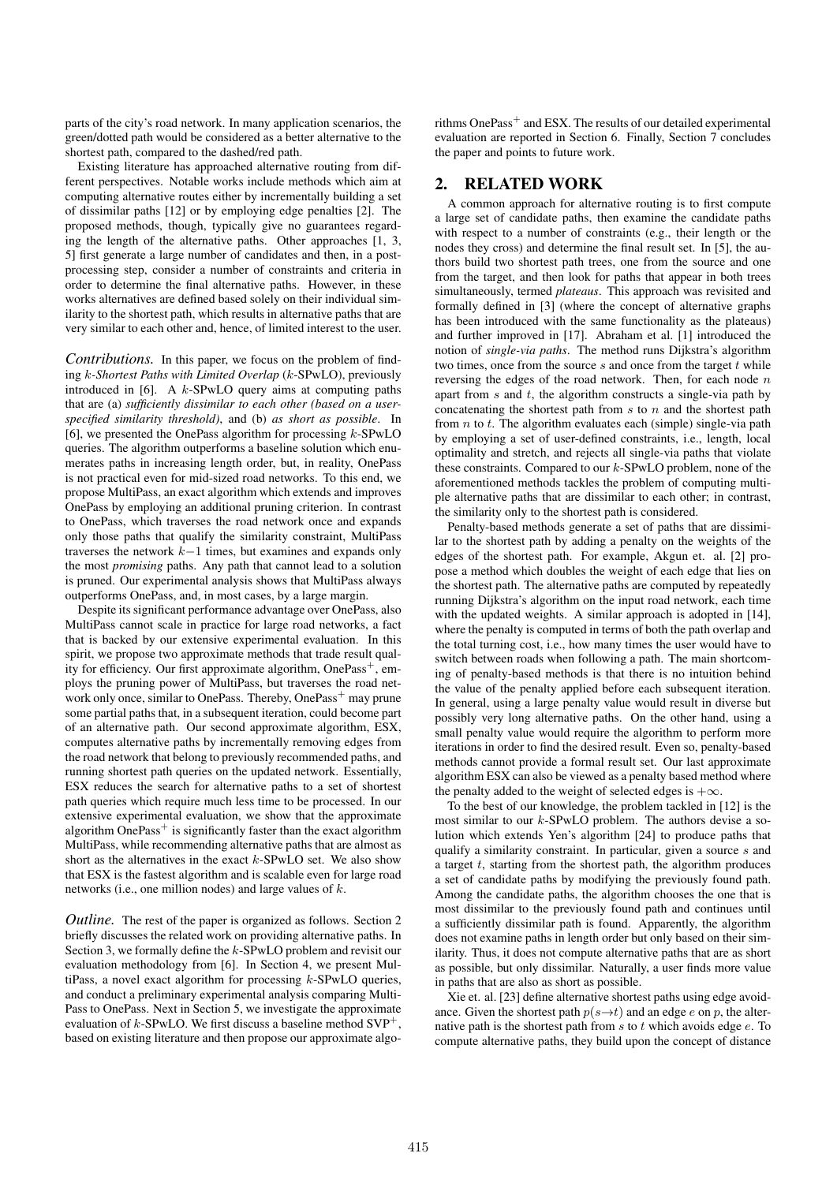parts of the city's road network. In many application scenarios, the green/dotted path would be considered as a better alternative to the shortest path, compared to the dashed/red path.

Existing literature has approached alternative routing from different perspectives. Notable works include methods which aim at computing alternative routes either by incrementally building a set of dissimilar paths [12] or by employing edge penalties [2]. The proposed methods, though, typically give no guarantees regarding the length of the alternative paths. Other approaches [1, 3, 5] first generate a large number of candidates and then, in a postprocessing step, consider a number of constraints and criteria in order to determine the final alternative paths. However, in these works alternatives are defined based solely on their individual similarity to the shortest path, which results in alternative paths that are very similar to each other and, hence, of limited interest to the user.

*Contributions.* In this paper, we focus on the problem of finding k*-Shortest Paths with Limited Overlap* (k-SPwLO), previously introduced in [6]. A k-SPwLO query aims at computing paths that are (a) *sufficiently dissimilar to each other (based on a userspecified similarity threshold)*, and (b) *as short as possible*. In [6], we presented the OnePass algorithm for processing  $k$ -SPwLO queries. The algorithm outperforms a baseline solution which enumerates paths in increasing length order, but, in reality, OnePass is not practical even for mid-sized road networks. To this end, we propose MultiPass, an exact algorithm which extends and improves OnePass by employing an additional pruning criterion. In contrast to OnePass, which traverses the road network once and expands only those paths that qualify the similarity constraint, MultiPass traverses the network k−1 times, but examines and expands only the most *promising* paths. Any path that cannot lead to a solution is pruned. Our experimental analysis shows that MultiPass always outperforms OnePass, and, in most cases, by a large margin.

Despite its significant performance advantage over OnePass, also MultiPass cannot scale in practice for large road networks, a fact that is backed by our extensive experimental evaluation. In this spirit, we propose two approximate methods that trade result quality for efficiency. Our first approximate algorithm,  $OnePass<sup>+</sup>$ , employs the pruning power of MultiPass, but traverses the road network only once, similar to OnePass. Thereby, OnePass<sup>+</sup> may prune some partial paths that, in a subsequent iteration, could become part of an alternative path. Our second approximate algorithm, ESX, computes alternative paths by incrementally removing edges from the road network that belong to previously recommended paths, and running shortest path queries on the updated network. Essentially, ESX reduces the search for alternative paths to a set of shortest path queries which require much less time to be processed. In our extensive experimental evaluation, we show that the approximate algorithm  $OnePass<sup>+</sup>$  is significantly faster than the exact algorithm MultiPass, while recommending alternative paths that are almost as short as the alternatives in the exact  $k$ -SPwLO set. We also show that ESX is the fastest algorithm and is scalable even for large road networks (i.e., one million nodes) and large values of k.

*Outline.* The rest of the paper is organized as follows. Section 2 briefly discusses the related work on providing alternative paths. In Section 3, we formally define the k-SPwLO problem and revisit our evaluation methodology from [6]. In Section 4, we present MultiPass, a novel exact algorithm for processing k-SPwLO queries, and conduct a preliminary experimental analysis comparing Multi-Pass to OnePass. Next in Section 5, we investigate the approximate evaluation of k-SPwLO. We first discuss a baseline method  $SVP^+$ , based on existing literature and then propose our approximate algorithms OnePass<sup>+</sup> and ESX. The results of our detailed experimental evaluation are reported in Section 6. Finally, Section 7 concludes the paper and points to future work.

#### 2. RELATED WORK

A common approach for alternative routing is to first compute a large set of candidate paths, then examine the candidate paths with respect to a number of constraints (e.g., their length or the nodes they cross) and determine the final result set. In [5], the authors build two shortest path trees, one from the source and one from the target, and then look for paths that appear in both trees simultaneously, termed *plateaus*. This approach was revisited and formally defined in [3] (where the concept of alternative graphs has been introduced with the same functionality as the plateaus) and further improved in [17]. Abraham et al. [1] introduced the notion of *single-via paths*. The method runs Dijkstra's algorithm two times, once from the source  $s$  and once from the target  $t$  while reversing the edges of the road network. Then, for each node  $n$ apart from  $s$  and  $t$ , the algorithm constructs a single-via path by concatenating the shortest path from  $s$  to  $n$  and the shortest path from  $n$  to  $t$ . The algorithm evaluates each (simple) single-via path by employing a set of user-defined constraints, i.e., length, local optimality and stretch, and rejects all single-via paths that violate these constraints. Compared to our k-SPwLO problem, none of the aforementioned methods tackles the problem of computing multiple alternative paths that are dissimilar to each other; in contrast, the similarity only to the shortest path is considered.

Penalty-based methods generate a set of paths that are dissimilar to the shortest path by adding a penalty on the weights of the edges of the shortest path. For example, Akgun et. al. [2] propose a method which doubles the weight of each edge that lies on the shortest path. The alternative paths are computed by repeatedly running Dijkstra's algorithm on the input road network, each time with the updated weights. A similar approach is adopted in [14], where the penalty is computed in terms of both the path overlap and the total turning cost, i.e., how many times the user would have to switch between roads when following a path. The main shortcoming of penalty-based methods is that there is no intuition behind the value of the penalty applied before each subsequent iteration. In general, using a large penalty value would result in diverse but possibly very long alternative paths. On the other hand, using a small penalty value would require the algorithm to perform more iterations in order to find the desired result. Even so, penalty-based methods cannot provide a formal result set. Our last approximate algorithm ESX can also be viewed as a penalty based method where the penalty added to the weight of selected edges is  $+\infty$ .

To the best of our knowledge, the problem tackled in [12] is the most similar to our  $k$ -SPwLO problem. The authors devise a solution which extends Yen's algorithm [24] to produce paths that qualify a similarity constraint. In particular, given a source s and a target  $t$ , starting from the shortest path, the algorithm produces a set of candidate paths by modifying the previously found path. Among the candidate paths, the algorithm chooses the one that is most dissimilar to the previously found path and continues until a sufficiently dissimilar path is found. Apparently, the algorithm does not examine paths in length order but only based on their similarity. Thus, it does not compute alternative paths that are as short as possible, but only dissimilar. Naturally, a user finds more value in paths that are also as short as possible.

Xie et. al. [23] define alternative shortest paths using edge avoidance. Given the shortest path  $p(s\rightarrow t)$  and an edge e on p, the alternative path is the shortest path from  $s$  to  $t$  which avoids edge  $e$ . To compute alternative paths, they build upon the concept of distance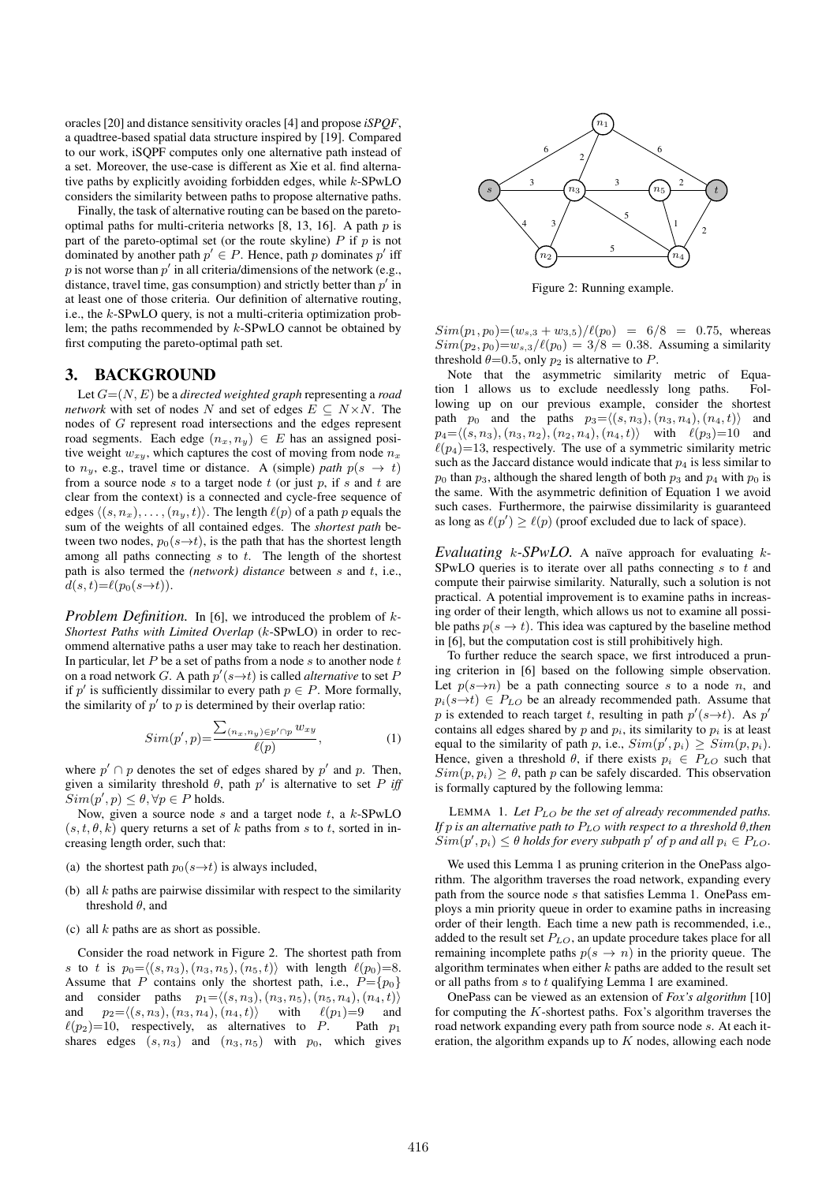oracles [20] and distance sensitivity oracles [4] and propose *iSPQF*, a quadtree-based spatial data structure inspired by [19]. Compared to our work, iSQPF computes only one alternative path instead of a set. Moreover, the use-case is different as Xie et al. find alternative paths by explicitly avoiding forbidden edges, while  $k$ -SPwLO considers the similarity between paths to propose alternative paths.

Finally, the task of alternative routing can be based on the paretooptimal paths for multi-criteria networks  $[8, 13, 16]$ . A path p is part of the pareto-optimal set (or the route skyline)  $P$  if  $p$  is not dominated by another path  $p' \in P$ . Hence, path p dominates p' iff p is not worse than  $p'$  in all criteria/dimensions of the network (e.g., distance, travel time, gas consumption) and strictly better than  $p'$  in at least one of those criteria. Our definition of alternative routing, i.e., the k-SPwLO query, is not a multi-criteria optimization problem; the paths recommended by k-SPwLO cannot be obtained by first computing the pareto-optimal path set.

#### 3. BACKGROUND

Let G=(N, E) be a *directed weighted graph* representing a *road network* with set of nodes N and set of edges  $E \subseteq N \times N$ . The nodes of G represent road intersections and the edges represent road segments. Each edge  $(n_x, n_y) \in E$  has an assigned positive weight  $w_{xy}$ , which captures the cost of moving from node  $n_x$ to  $n_y$ , e.g., travel time or distance. A (simple) *path*  $p(s \rightarrow t)$ from a source node  $s$  to a target node  $t$  (or just  $p$ , if  $s$  and  $t$  are clear from the context) is a connected and cycle-free sequence of edges  $\langle (s, n_x), \ldots, (n_y, t) \rangle$ . The length  $\ell(p)$  of a path p equals the sum of the weights of all contained edges. The *shortest path* between two nodes,  $p_0(s\rightarrow t)$ , is the path that has the shortest length among all paths connecting  $s$  to  $t$ . The length of the shortest path is also termed the *(network)* distance between s and t, i.e.,  $d(s,t)=\ell(p_0(s\rightarrow t)).$ 

*Problem Definition.* In [6], we introduced the problem of k*-Shortest Paths with Limited Overlap* (k-SPwLO) in order to recommend alternative paths a user may take to reach her destination. In particular, let  $P$  be a set of paths from a node  $s$  to another node  $t$ on a road network G. A path  $p'(s \rightarrow t)$  is called *alternative* to set F if p' is sufficiently dissimilar to every path  $p \in P$ . More formally, the similarity of  $p'$  to  $p$  is determined by their overlap ratio:

$$
Sim(p', p) = \frac{\sum_{(n_x, n_y) \in p' \cap p} w_{xy}}{\ell(p)},
$$
\n(1)

where  $p' \cap p$  denotes the set of edges shared by  $p'$  and p. Then, given a similarity threshold  $\theta$ , path  $p'$  is alternative to set P *iff*  $Sim(p', p) \leq \theta, \forall p \in P$  holds.

Now, given a source node s and a target node t, a  $k$ -SPwLO  $(s, t, \theta, k)$  query returns a set of k paths from s to t, sorted in increasing length order, such that:

- (a) the shortest path  $p_0(s \rightarrow t)$  is always included,
- (b) all  $k$  paths are pairwise dissimilar with respect to the similarity threshold  $\theta$ , and
- (c) all  $k$  paths are as short as possible.

Consider the road network in Figure 2. The shortest path from s to t is  $p_0 = \langle (s, n_3), (n_3, n_5), (n_5, t) \rangle$  with length  $\ell(p_0) = 8$ . Assume that P contains only the shortest path, i.e.,  $P = \{p_0\}$ and consider paths  $p_1 = \langle (s, n_3), (n_3, n_5), (n_5, n_4), (n_4, t) \rangle$ and  $p_2 = \langle (s, n_3), (n_3, n_4), (n_4, t) \rangle$  with  $\ell(p_1) = 9$  and  $\ell(p_2)=10$ , respectively, as alternatives to P. Path  $p_1$ shares edges  $(s, n_3)$  and  $(n_3, n_5)$  with  $p_0$ , which gives



Figure 2: Running example.

 $Sim(p_1, p_0) = (w_{s,3} + w_{3,5})/\ell(p_0) = 6/8 = 0.75$ , whereas  $Sim(p_2, p_0) = w_{s,3}/\ell(p_0) = 3/8 = 0.38$ . Assuming a similarity threshold  $\theta$ =0.5, only  $p_2$  is alternative to P.

Note that the asymmetric similarity metric of Equation 1 allows us to exclude needlessly long paths. Following up on our previous example, consider the shortest path  $p_0$  and the paths  $p_3 = \langle (s, n_3), (n_3, n_4), (n_4, t) \rangle$  and  $p_4 = \langle (s, n_3), (n_3, n_2), (n_2, n_4), (n_4, t) \rangle$  with  $\ell(p_3)=10$  and  $\ell(p_4)=13$ , respectively. The use of a symmetric similarity metric such as the Jaccard distance would indicate that  $p_4$  is less similar to  $p_0$  than  $p_3$ , although the shared length of both  $p_3$  and  $p_4$  with  $p_0$  is the same. With the asymmetric definition of Equation 1 we avoid such cases. Furthermore, the pairwise dissimilarity is guaranteed as long as  $\ell(p') \geq \ell(p)$  (proof excluded due to lack of space).

*Evaluating* k*-SPwLO.* A naïve approach for evaluating k-SPwLO queries is to iterate over all paths connecting  $s$  to  $t$  and compute their pairwise similarity. Naturally, such a solution is not practical. A potential improvement is to examine paths in increasing order of their length, which allows us not to examine all possible paths  $p(s \to t)$ . This idea was captured by the baseline method in [6], but the computation cost is still prohibitively high.

To further reduce the search space, we first introduced a pruning criterion in [6] based on the following simple observation. Let  $p(s \rightarrow n)$  be a path connecting source s to a node n, and  $p_i(s \rightarrow t) \in P_{LO}$  be an already recommended path. Assume that p is extended to reach target t, resulting in path  $p'(s \rightarrow t)$ . As p' contains all edges shared by p and  $p_i$ , its similarity to  $p_i$  is at least equal to the similarity of path p, i.e.,  $Sim(p', p_i) \geq Sim(p, p_i)$ . Hence, given a threshold  $\theta$ , if there exists  $p_i \in P_{LO}$  such that  $Sim(p, p_i) \geq \theta$ , path p can be safely discarded. This observation is formally captured by the following lemma:

LEMMA 1. *Let* PLO *be the set of already recommended paths. If* p *is an alternative path to* PLO *with respect to a threshold* θ*,then*  $Sim(p', p_i) \leq \theta$  *holds for every subpath*  $p'$  *of*  $p$  *and all*  $p_i \in P_{LO}$ *.* 

We used this Lemma 1 as pruning criterion in the OnePass algorithm. The algorithm traverses the road network, expanding every path from the source node s that satisfies Lemma 1. OnePass employs a min priority queue in order to examine paths in increasing order of their length. Each time a new path is recommended, i.e., added to the result set  $P_{LO}$ , an update procedure takes place for all remaining incomplete paths  $p(s \to n)$  in the priority queue. The algorithm terminates when either  $k$  paths are added to the result set or all paths from s to t qualifying Lemma 1 are examined.

OnePass can be viewed as an extension of *Fox's algorithm* [10] for computing the  $K$ -shortest paths. Fox's algorithm traverses the road network expanding every path from source node s. At each iteration, the algorithm expands up to  $K$  nodes, allowing each node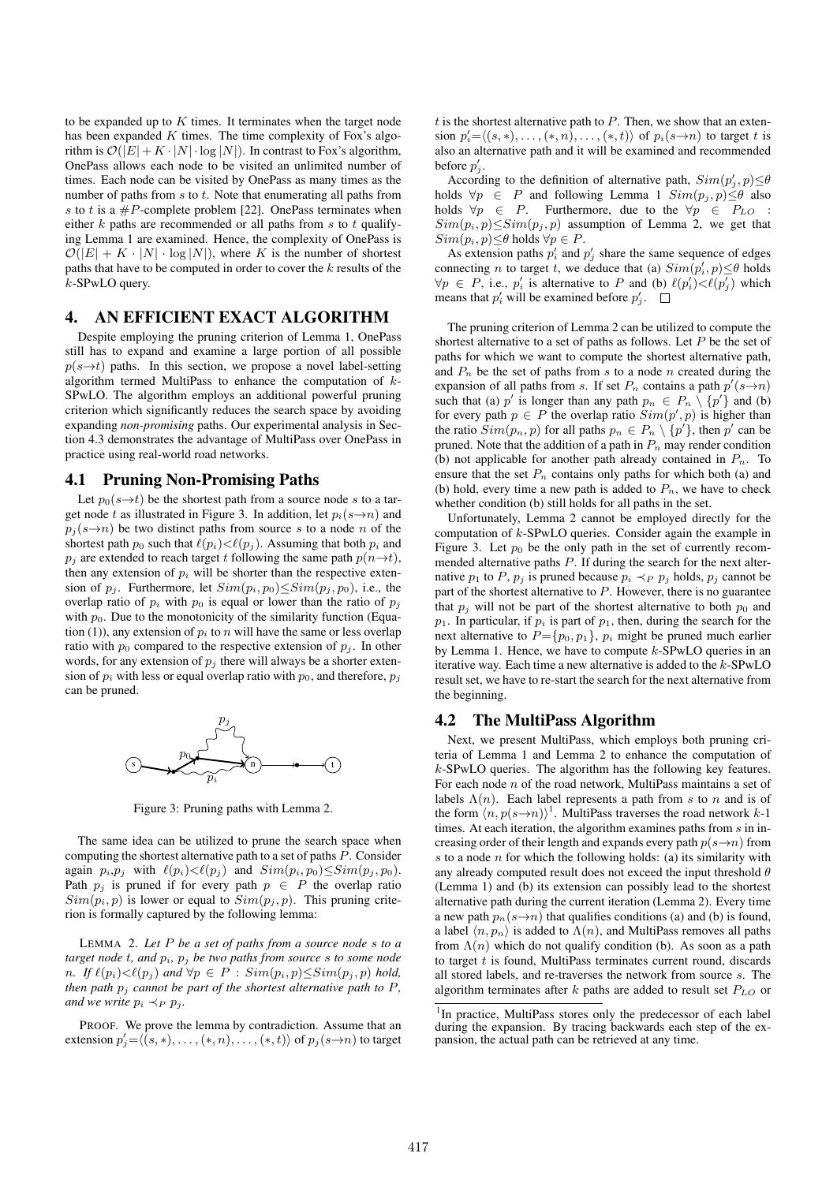to be expanded up to  $K$  times. It terminates when the target node has been expanded  $K$  times. The time complexity of Fox's algorithm is  $\mathcal{O}(|E| + K \cdot |N| \cdot \log |N|)$ . In contrast to Fox's algorithm, OnePass allows each node to be visited an unlimited number of times. Each node can be visited by OnePass as many times as the number of paths from  $s$  to  $t$ . Note that enumerating all paths from s to t is a  $#P$ -complete problem [22]. OnePass terminates when either  $k$  paths are recommended or all paths from  $s$  to  $t$  qualifying Lemma 1 are examined. Hence, the complexity of OnePass is  $\mathcal{O}(|E| + K \cdot |N| \cdot \log |N|)$ , where K is the number of shortest paths that have to be computed in order to cover the k results of the k-SPwLO query.

## 4. AN EFFICIENT EXACT ALGORITHM

Despite employing the pruning criterion of Lemma 1, OnePass still has to expand and examine a large portion of all possible  $p(s\rightarrow t)$  paths. In this section, we propose a novel label-setting algorithm termed MultiPass to enhance the computation of k-SPwLO. The algorithm employs an additional powerful pruning criterion which significantly reduces the search space by avoiding expanding *non-promising* paths. Our experimental analysis in Section 4.3 demonstrates the advantage of MultiPass over OnePass in practice using real-world road networks.

#### 4.1 Pruning Non-Promising Paths

Let  $p_0(s \rightarrow t)$  be the shortest path from a source node s to a target node t as illustrated in Figure 3. In addition, let  $p_i(s \rightarrow n)$  and  $p_j(s \rightarrow n)$  be two distinct paths from source s to a node n of the shortest path  $p_0$  such that  $\ell(p_i) < \ell(p_j)$ . Assuming that both  $p_i$  and  $p_i$  are extended to reach target t following the same path  $p(n\rightarrow t)$ , then any extension of  $p_i$  will be shorter than the respective extension of  $p_i$ . Furthermore, let  $Sim(p_i, p_0) \leq Sim(p_i, p_0)$ , i.e., the overlap ratio of  $p_i$  with  $p_0$  is equal or lower than the ratio of  $p_j$ with  $p_0$ . Due to the monotonicity of the similarity function (Equation (1)), any extension of  $p_i$  to n will have the same or less overlap ratio with  $p_0$  compared to the respective extension of  $p_i$ . In other words, for any extension of  $p_j$  there will always be a shorter extension of  $p_i$  with less or equal overlap ratio with  $p_0$ , and therefore,  $p_j$ can be pruned.



Figure 3: Pruning paths with Lemma 2.

The same idea can be utilized to prune the search space when computing the shortest alternative path to a set of paths P. Consider again  $p_i, p_j$  with  $\ell(p_i) < \ell(p_j)$  and  $Sim(p_i, p_0) \leq Sim(p_i, p_0)$ . Path  $p_j$  is pruned if for every path  $p \in P$  the overlap ratio  $Sim(p_i, p)$  is lower or equal to  $Sim(p_j, p)$ . This pruning criterion is formally captured by the following lemma:

LEMMA 2. *Let* P *be a set of paths from a source node* s *to a target node* t*, and* pi*,* p<sup>j</sup> *be two paths from source* s *to some node n.* If  $\ell(p_i) < \ell(p_j)$  and  $\forall p \in P$  :  $Sim(p_i, p) \leq Sim(p_j, p)$  hold, *then path*  $p_j$  *cannot be part of the shortest alternative path to*  $P$ *, and we write*  $p_i \prec_P p_j$ *.* 

PROOF. We prove the lemma by contradiction. Assume that an extension  $p'_j = \langle (s, *), \dots, (*, n), \dots, (*, t) \rangle$  of  $p_j(s \rightarrow n)$  to target t is the shortest alternative path to  $P$ . Then, we show that an extension  $p'_{i} = \langle (s, *), \ldots, (*, n), \ldots, (*, t) \rangle$  of  $p_{i}(s \rightarrow n)$  to target t is also an alternative path and it will be examined and recommended before  $p'_j$ .

According to the definition of alternative path,  $Sim(p'_j, p) \leq \theta$ holds  $\forall p \in P$  and following Lemma 1  $Sim(p_i, p) \leq \theta$  also holds  $\forall p \in P$ . Furthermore, due to the  $\forall p \in P_{LO}$ :  $Sim(p_i, p) \leq Sim(p_j, p)$  assumption of Lemma 2, we get that  $Sim(p_i, p) \leq \theta$  holds  $\forall p \in P$ .

As extension paths  $p'_i$  and  $p'_j$  share the same sequence of edges connecting *n* to target *t*, we deduce that (a)  $Sim(p'_i, p) \le \theta$  holds  $\forall p \in P$ , i.e.,  $p'_i$  is alternative to P and (b)  $\ell(p'_i) < \ell(p'_j)$  which means that  $p'_i$  will be examined before  $p'_j$ .

The pruning criterion of Lemma 2 can be utilized to compute the shortest alternative to a set of paths as follows. Let  $P$  be the set of paths for which we want to compute the shortest alternative path, and  $P_n$  be the set of paths from s to a node n created during the expansion of all paths from s. If set  $P_n$  contains a path  $p'(s\rightarrow n)$ such that (a) p' is longer than any path  $p_n \in P_n \setminus \{p'\}$  and (b) for every path  $p \in P$  the overlap ratio  $Sim(p', p)$  is higher than the ratio  $\widetilde{Sim}(p_n, p)$  for all paths  $p_n \in P_n \setminus \{p'\}$ , then  $p'$  can be pruned. Note that the addition of a path in  $P_n$  may render condition (b) not applicable for another path already contained in  $P_n$ . To ensure that the set  $P_n$  contains only paths for which both (a) and (b) hold, every time a new path is added to  $P_n$ , we have to check whether condition (b) still holds for all paths in the set.

Unfortunately, Lemma 2 cannot be employed directly for the computation of k-SPwLO queries. Consider again the example in Figure 3. Let  $p_0$  be the only path in the set of currently recommended alternative paths P. If during the search for the next alternative  $p_1$  to P,  $p_j$  is pruned because  $p_i \prec_P p_j$  holds,  $p_j$  cannot be part of the shortest alternative to  $P$ . However, there is no guarantee that  $p_i$  will not be part of the shortest alternative to both  $p_0$  and  $p_1$ . In particular, if  $p_i$  is part of  $p_1$ , then, during the search for the next alternative to  $P = \{p_0, p_1\}$ ,  $p_i$  might be pruned much earlier by Lemma 1. Hence, we have to compute  $k$ -SPwLO queries in an iterative way. Each time a new alternative is added to the k-SPwLO result set, we have to re-start the search for the next alternative from the beginning.

#### 4.2 The MultiPass Algorithm

Next, we present MultiPass, which employs both pruning criteria of Lemma 1 and Lemma 2 to enhance the computation of  $k$ -SPwLO queries. The algorithm has the following key features. For each node  $n$  of the road network, MultiPass maintains a set of labels  $\Lambda(n)$ . Each label represents a path from s to n and is of the form  $\langle n, p(s\rightarrow n) \rangle$ <sup>1</sup>. MultiPass traverses the road network k-1 times. At each iteration, the algorithm examines paths from  $s$  in increasing order of their length and expands every path  $p(s \rightarrow n)$  from s to a node n for which the following holds: (a) its similarity with any already computed result does not exceed the input threshold  $\theta$ (Lemma 1) and (b) its extension can possibly lead to the shortest alternative path during the current iteration (Lemma 2). Every time a new path  $p_n(s \to n)$  that qualifies conditions (a) and (b) is found, a label  $\langle n, p_n \rangle$  is added to  $\Lambda(n)$ , and MultiPass removes all paths from  $\Lambda(n)$  which do not qualify condition (b). As soon as a path to target  $t$  is found, MultiPass terminates current round, discards all stored labels, and re-traverses the network from source s. The algorithm terminates after  $k$  paths are added to result set  $P_{LO}$  or

<sup>&</sup>lt;sup>1</sup>In practice, MultiPass stores only the predecessor of each label during the expansion. By tracing backwards each step of the expansion, the actual path can be retrieved at any time.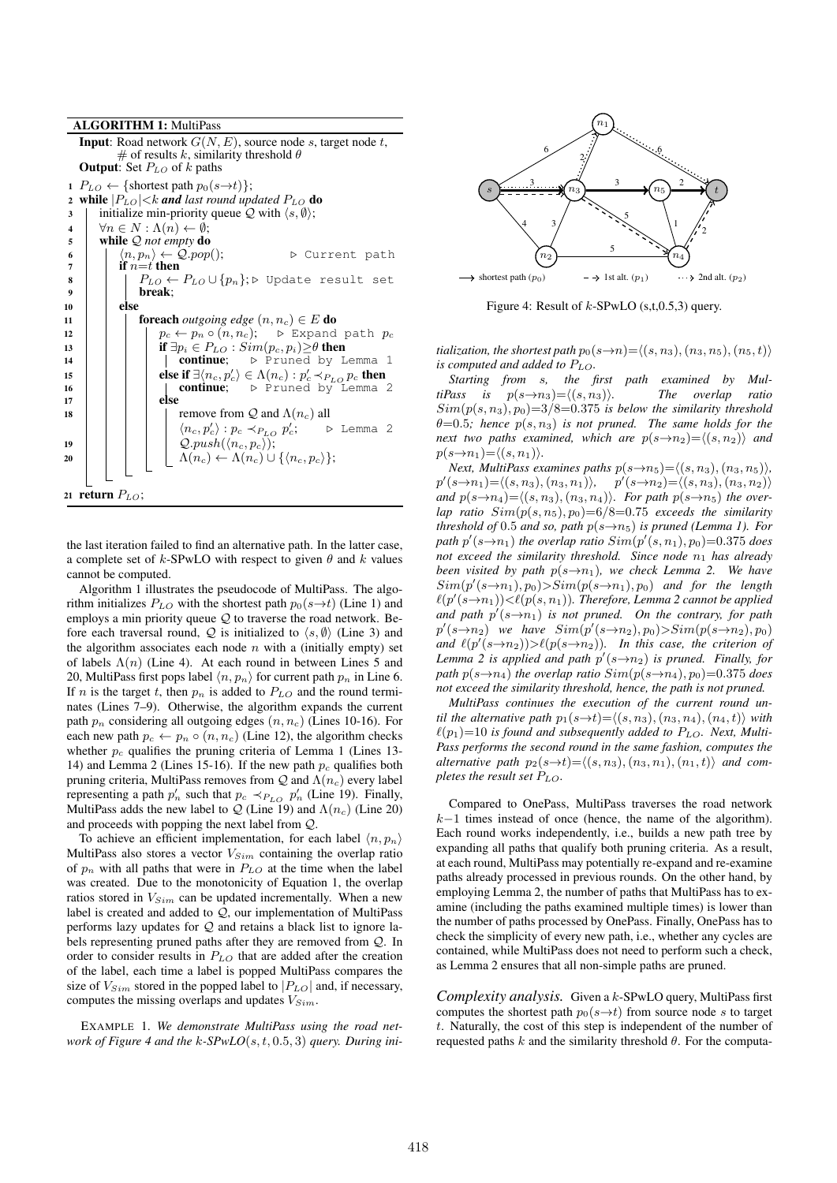

the last iteration failed to find an alternative path. In the latter case, a complete set of k-SPwLO with respect to given  $\theta$  and k values cannot be computed.

Algorithm 1 illustrates the pseudocode of MultiPass. The algorithm initializes  $P_{LO}$  with the shortest path  $p_0(s\rightarrow t)$  (Line 1) and employs a min priority queue  $Q$  to traverse the road network. Before each traversal round,  $Q$  is initialized to  $\langle s, \emptyset \rangle$  (Line 3) and the algorithm associates each node  $n$  with a (initially empty) set of labels  $\Lambda(n)$  (Line 4). At each round in between Lines 5 and 20, MultiPass first pops label  $\langle n, p_n \rangle$  for current path  $p_n$  in Line 6. If n is the target t, then  $p_n$  is added to  $P_{LO}$  and the round terminates (Lines 7–9). Otherwise, the algorithm expands the current path  $p_n$  considering all outgoing edges  $(n, n_c)$  (Lines 10-16). For each new path  $p_c \leftarrow p_n \circ (n, n_c)$  (Line 12), the algorithm checks whether  $p_c$  qualifies the pruning criteria of Lemma 1 (Lines 13-14) and Lemma 2 (Lines 15-16). If the new path  $p_c$  qualifies both pruning criteria, MultiPass removes from  $Q$  and  $\Lambda(n_c)$  every label representing a path  $p'_n$  such that  $p_c \prec_{P_{LO}} p'_n$  (Line 19). Finally, MultiPass adds the new label to  $\mathcal{Q}$  (Line 19) and  $\Lambda(n_c)$  (Line 20) and proceeds with popping the next label from Q.

To achieve an efficient implementation, for each label  $\langle n, p_n \rangle$ MultiPass also stores a vector  $V_{Sim}$  containing the overlap ratio of  $p_n$  with all paths that were in  $P_{LO}$  at the time when the label was created. Due to the monotonicity of Equation 1, the overlap ratios stored in  $V_{Sim}$  can be updated incrementally. When a new label is created and added to Q, our implementation of MultiPass performs lazy updates for  $Q$  and retains a black list to ignore labels representing pruned paths after they are removed from Q. In order to consider results in  $P_{LO}$  that are added after the creation of the label, each time a label is popped MultiPass compares the size of  $V_{Sim}$  stored in the popped label to  $|P_{LO}|$  and, if necessary, computes the missing overlaps and updates  $V_{Sim}$ .

EXAMPLE 1. *We demonstrate MultiPass using the road network of Figure 4 and the* k*-SPwLO*(s, t, 0.5, 3) *query. During ini-*



Figure 4: Result of  $k$ -SPwLO (s,t,0.5,3) query.

*tialization, the shortest path*  $p_0(s\rightarrow n) = \langle (s, n_3), (n_3, n_5), (n_5, t) \rangle$ *is computed and added to*  $P_{LO}$ *.* 

*Starting from* s*, the first path examined by MultiPass is*  $p(s \rightarrow n_3) = \langle (s, n_3) \rangle$ *. The overlap ratio*  $Sim(p(s, n_3), p_0) = 3/8 = 0.375$  *is below the similarity threshold*  $\theta=0.5$ *;* hence  $p(s, n_3)$  *is not pruned. The same holds for the next two paths examined, which are*  $p(s\rightarrow n_2) = \langle (s, n_2) \rangle$  *and*  $p(s\rightarrow n_1)=\langle (s, n_1)\rangle.$ 

*Next, MultiPass examines paths*  $p(s\rightarrow n_5) = \langle (s, n_3), (n_3, n_5) \rangle$ *,*  $p'(s\rightarrow n_1)=\langle (s, n_3), (n_3, n_1)\rangle, \quad p'(s\rightarrow n_2)=\langle (s, n_3), (n_3, n_2)\rangle$ and  $p(s\rightarrow n_4) = \langle (s, n_3), (n_3, n_4) \rangle$ *. For path*  $p(s\rightarrow n_5)$  *the overlap ratio*  $Sim(p(s, n_5), p_0) = 6/8 = 0.75$  *exceeds the similarity threshold of* 0.5 *and so, path*  $p(s \rightarrow n_5)$  *is pruned (Lemma 1). For* path  $p'(s\rightarrow n_1)$  the overlap ratio  $Sim(p'(s, n_1), p_0)$ =0.375 does *not exceed the similarity threshold. Since node*  $n_1$  *has already been visited by path*  $p(s \rightarrow n_1)$ *, we check Lemma 2. We have*  $Sim(p'(s\rightarrow n_1), p_0) > Sim(p(s\rightarrow n_1), p_0)$  and for the length  $\ell(p'(s\rightarrow n_1))<\ell(p(s,n_1))$ . Therefore, Lemma 2 cannot be applied and path  $p'(s \rightarrow n_1)$  *is not pruned.* On the contrary, for path  $p'(s\rightarrow n_2)$  we have  $Sim(p'(s\rightarrow n_2), p_0) > Sim(p(s\rightarrow n_2), p_0)$ and  $\ell(p'(s\rightarrow n_2))\geq \ell(p(s\rightarrow n_2))$ . In this case, the criterion of Lemma 2 is applied and path  $p'(s\rightarrow n_2)$  is pruned. Finally, for *path*  $p(s \rightarrow n_4)$  *the overlap ratio*  $Sim(p(s \rightarrow n_4), p_0) = 0.375$  *does not exceed the similarity threshold, hence, the path is not pruned.*

*MultiPass continues the execution of the current round until the alternative path*  $p_1(s\rightarrow t) = \langle (s, n_3), (n_3, n_4), (n_4, t) \rangle$  *with*  $\ell(p_1)=10$  *is found and subsequently added to*  $P_{LO}$ *. Next, Multi-Pass performs the second round in the same fashion, computes the alternative path*  $p_2(s\rightarrow t) = \langle (s, n_3), (n_3, n_1), (n_1, t) \rangle$  *and completes the result set* PLO*.*

Compared to OnePass, MultiPass traverses the road network k−1 times instead of once (hence, the name of the algorithm). Each round works independently, i.e., builds a new path tree by expanding all paths that qualify both pruning criteria. As a result, at each round, MultiPass may potentially re-expand and re-examine paths already processed in previous rounds. On the other hand, by employing Lemma 2, the number of paths that MultiPass has to examine (including the paths examined multiple times) is lower than the number of paths processed by OnePass. Finally, OnePass has to check the simplicity of every new path, i.e., whether any cycles are contained, while MultiPass does not need to perform such a check, as Lemma 2 ensures that all non-simple paths are pruned.

*Complexity analysis.* Given a k-SPwLO query, MultiPass first computes the shortest path  $p_0(s\rightarrow t)$  from source node s to target t. Naturally, the cost of this step is independent of the number of requested paths k and the similarity threshold  $\theta$ . For the computa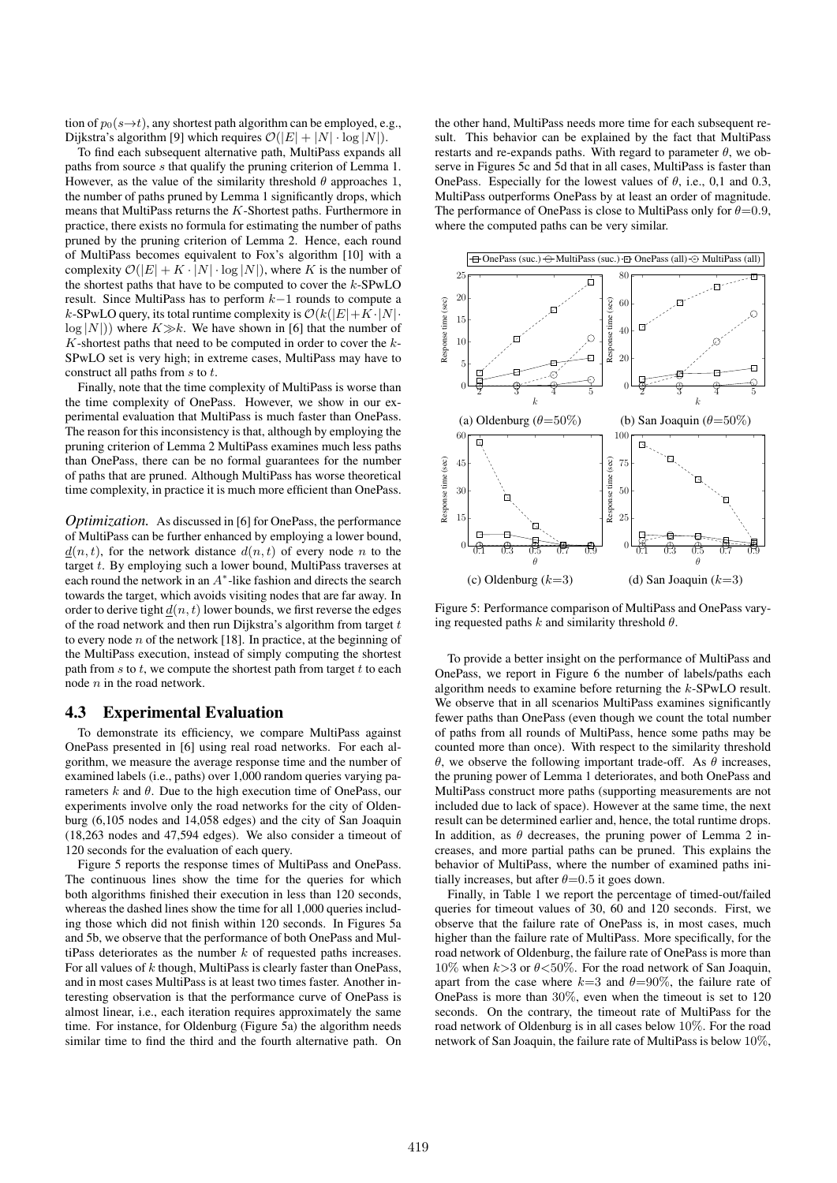tion of  $p_0(s\rightarrow t)$ , any shortest path algorithm can be employed, e.g., Dijkstra's algorithm [9] which requires  $\mathcal{O}(|E| + |N| \cdot \log |N|)$ .

To find each subsequent alternative path, MultiPass expands all paths from source s that qualify the pruning criterion of Lemma 1. However, as the value of the similarity threshold  $\theta$  approaches 1, the number of paths pruned by Lemma 1 significantly drops, which means that MultiPass returns the K-Shortest paths. Furthermore in practice, there exists no formula for estimating the number of paths pruned by the pruning criterion of Lemma 2. Hence, each round of MultiPass becomes equivalent to Fox's algorithm [10] with a complexity  $\mathcal{O}(|E| + K \cdot |N| \cdot \log |N|)$ , where K is the number of the shortest paths that have to be computed to cover the  $k$ -SPwLO result. Since MultiPass has to perform k−1 rounds to compute a k-SPwLO query, its total runtime complexity is  $\mathcal{O}(k(|E|+K\cdot|N|\cdot$  $log |N|$ ) where  $K \gg k$ . We have shown in [6] that the number of  $K$ -shortest paths that need to be computed in order to cover the  $k$ -SPwLO set is very high; in extreme cases, MultiPass may have to construct all paths from s to t.

Finally, note that the time complexity of MultiPass is worse than the time complexity of OnePass. However, we show in our experimental evaluation that MultiPass is much faster than OnePass. The reason for this inconsistency is that, although by employing the pruning criterion of Lemma 2 MultiPass examines much less paths than OnePass, there can be no formal guarantees for the number of paths that are pruned. Although MultiPass has worse theoretical time complexity, in practice it is much more efficient than OnePass.

*Optimization.* As discussed in [6] for OnePass, the performance of MultiPass can be further enhanced by employing a lower bound,  $d(n, t)$ , for the network distance  $d(n, t)$  of every node n to the target t. By employing such a lower bound, MultiPass traverses at each round the network in an  $A^*$ -like fashion and directs the search towards the target, which avoids visiting nodes that are far away. In order to derive tight  $d(n, t)$  lower bounds, we first reverse the edges of the road network and then run Dijkstra's algorithm from target  $t$ to every node  $n$  of the network [18]. In practice, at the beginning of the MultiPass execution, instead of simply computing the shortest path from  $s$  to  $t$ , we compute the shortest path from target  $t$  to each node  $n$  in the road network.

#### 4.3 Experimental Evaluation

To demonstrate its efficiency, we compare MultiPass against OnePass presented in [6] using real road networks. For each algorithm, we measure the average response time and the number of examined labels (i.e., paths) over 1,000 random queries varying parameters  $k$  and  $\theta$ . Due to the high execution time of OnePass, our experiments involve only the road networks for the city of Oldenburg (6,105 nodes and 14,058 edges) and the city of San Joaquin (18,263 nodes and 47,594 edges). We also consider a timeout of 120 seconds for the evaluation of each query.

Figure 5 reports the response times of MultiPass and OnePass. The continuous lines show the time for the queries for which both algorithms finished their execution in less than 120 seconds, whereas the dashed lines show the time for all 1,000 queries including those which did not finish within 120 seconds. In Figures 5a and 5b, we observe that the performance of both OnePass and MultiPass deteriorates as the number  $k$  of requested paths increases. For all values of k though, MultiPass is clearly faster than OnePass, and in most cases MultiPass is at least two times faster. Another interesting observation is that the performance curve of OnePass is almost linear, i.e., each iteration requires approximately the same time. For instance, for Oldenburg (Figure 5a) the algorithm needs similar time to find the third and the fourth alternative path. On the other hand, MultiPass needs more time for each subsequent result. This behavior can be explained by the fact that MultiPass restarts and re-expands paths. With regard to parameter  $\theta$ , we observe in Figures 5c and 5d that in all cases, MultiPass is faster than OnePass. Especially for the lowest values of  $\theta$ , i.e., 0.1 and 0.3, MultiPass outperforms OnePass by at least an order of magnitude. The performance of OnePass is close to MultiPass only for  $\theta = 0.9$ , where the computed paths can be very similar.



Figure 5: Performance comparison of MultiPass and OnePass varying requested paths  $k$  and similarity threshold  $\theta$ .

To provide a better insight on the performance of MultiPass and OnePass, we report in Figure 6 the number of labels/paths each algorithm needs to examine before returning the k-SPwLO result. We observe that in all scenarios MultiPass examines significantly fewer paths than OnePass (even though we count the total number of paths from all rounds of MultiPass, hence some paths may be counted more than once). With respect to the similarity threshold θ, we observe the following important trade-off. As θ increases, the pruning power of Lemma 1 deteriorates, and both OnePass and MultiPass construct more paths (supporting measurements are not included due to lack of space). However at the same time, the next result can be determined earlier and, hence, the total runtime drops. In addition, as  $\theta$  decreases, the pruning power of Lemma 2 increases, and more partial paths can be pruned. This explains the behavior of MultiPass, where the number of examined paths initially increases, but after  $\theta$ =0.5 it goes down.

Finally, in Table 1 we report the percentage of timed-out/failed queries for timeout values of 30, 60 and 120 seconds. First, we observe that the failure rate of OnePass is, in most cases, much higher than the failure rate of MultiPass. More specifically, for the road network of Oldenburg, the failure rate of OnePass is more than 10% when  $k > 3$  or  $\theta \le 50\%$ . For the road network of San Joaquin, apart from the case where  $k=3$  and  $\theta=90\%$ , the failure rate of OnePass is more than 30%, even when the timeout is set to 120 seconds. On the contrary, the timeout rate of MultiPass for the road network of Oldenburg is in all cases below 10%. For the road network of San Joaquin, the failure rate of MultiPass is below 10%,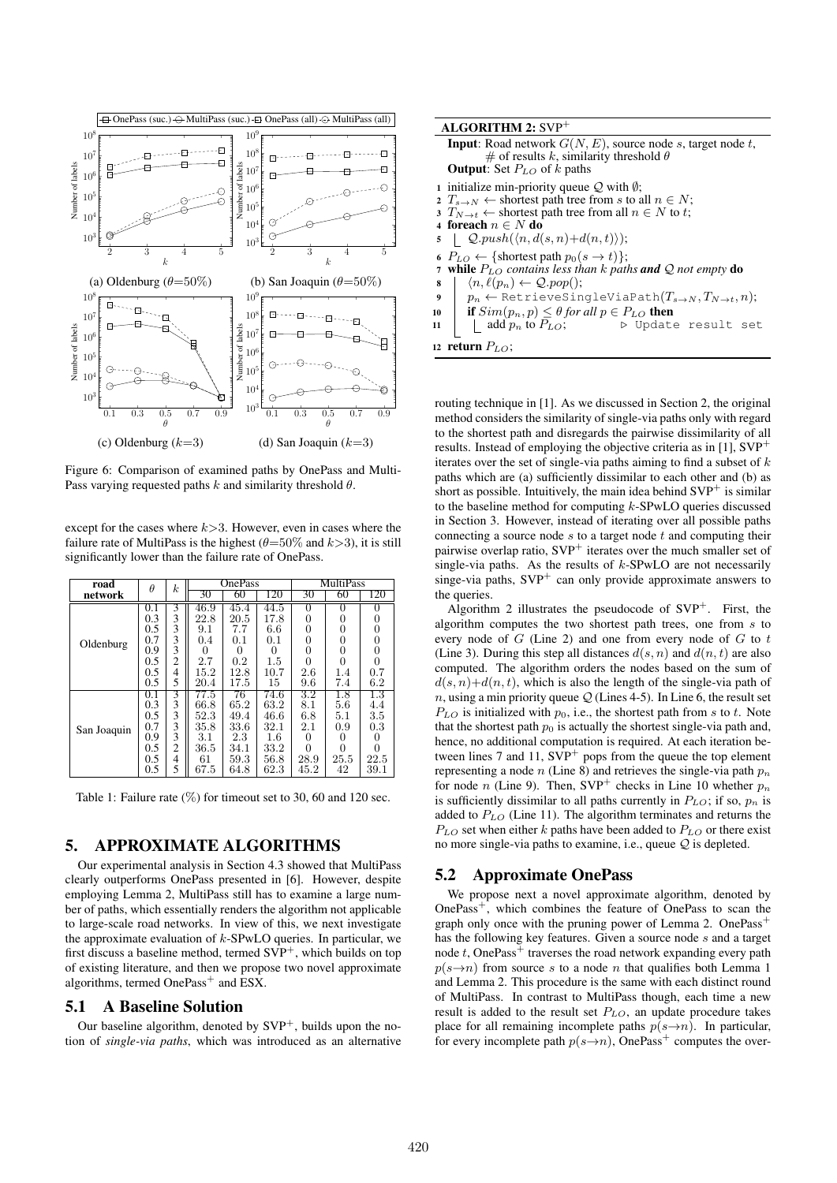

Figure 6: Comparison of examined paths by OnePass and Multi-Pass varying requested paths  $k$  and similarity threshold  $\theta$ .

except for the cases where  $k>3$ . However, even in cases where the failure rate of MultiPass is the highest ( $\theta$ =50% and k>3), it is still significantly lower than the failure rate of OnePass.

| road        | $\theta$ | k.             | <b>OnePass</b> |              | <b>MultiPass</b> |                |      |      |
|-------------|----------|----------------|----------------|--------------|------------------|----------------|------|------|
| network     |          |                | 30             | 60           | 120              | 30             | 60   | 120  |
|             | 0.1      | 3              | 46.9           | 45.4         | 44.5             | 0              | O    | O    |
|             | 0.3      | 3              | 22.8           | 20.5         | 17.8             | 0              |      |      |
|             | 0.5      | 3              | 9.1            | 7.7          | 6.6              | $\overline{0}$ |      | 0    |
| Oldenburg   | 0.7      | 3              | 0.4            | 0.1          | 0.1              | 0              |      | 0    |
|             | 0.9      | 3              | $^{(1)}$       | $\mathbf{0}$ | $\mathbf{0}$     | 0              |      | 0    |
|             | 0.5      | $\overline{2}$ | 2.7            | 0.2          | 1.5              |                |      | 0    |
|             | 0.5      | 4              | 15.2           | 12.8         | 10.7             | 2.6            | 1.4  | 0.7  |
|             | 0.5      | 5              | 20.4           | 17.5         | 15               | 9.6            | 7.4  | 6.2  |
|             | 0.1      | 3              | 77.5           | 76           | 74.6             | $3.2\,$        | 1.8  | 1.3  |
|             | 0.3      | 3              | 66.8           | 65.2         | 63.2             | 8.1            | 5.6  | 4.4  |
| San Joaquin | 0.5      | 3              | 52.3           | 49.4         | 46.6             | 6.8            | 5.1  | 3.5  |
|             | 0.7      | 3              | 35.8           | 33.6         | 32.1             | 2.1            | 0.9  | 0.3  |
|             | 0.9      | 3              | 3.1            | 2.3          | 1.6              | 0              |      | 0    |
|             | 0.5      | $\overline{2}$ | 36.5           | 34.1         | 33.2             | 0              |      |      |
|             | 0.5      | 4              | 61             | 59.3         | 56.8             | 28.9           | 25.5 | 22.5 |
|             | 0.5      | 5              | 67.5           | 64.8         | 62.3             | 45.2           | 42   | 39.1 |

Table 1: Failure rate  $(\%)$  for timeout set to 30, 60 and 120 sec.

## 5. APPROXIMATE ALGORITHMS

Our experimental analysis in Section 4.3 showed that MultiPass clearly outperforms OnePass presented in [6]. However, despite employing Lemma 2, MultiPass still has to examine a large number of paths, which essentially renders the algorithm not applicable to large-scale road networks. In view of this, we next investigate the approximate evaluation of  $k$ -SPwLO queries. In particular, we first discuss a baseline method, termed  $SVP^+$ , which builds on top of existing literature, and then we propose two novel approximate algorithms, termed  $OnePass<sup>+</sup>$  and ESX.

#### 5.1 A Baseline Solution

Our baseline algorithm, denoted by  $SVP^+$ , builds upon the notion of *single-via paths*, which was introduced as an alternative

| ALGORITHM 2: $SVP+$                                                                                                                                                                                                                                                                                                                                                                                                                                       |
|-----------------------------------------------------------------------------------------------------------------------------------------------------------------------------------------------------------------------------------------------------------------------------------------------------------------------------------------------------------------------------------------------------------------------------------------------------------|
| <b>Input:</b> Road network $G(N, E)$ , source node s, target node t,<br># of results k, similarity threshold $\theta$<br><b>Output:</b> Set $P_{L_O}$ of k paths                                                                                                                                                                                                                                                                                          |
| 1 initialize min-priority queue $Q$ with $\emptyset$ ;<br>2 $T_{s\to N}$ $\leftarrow$ shortest path tree from s to all $n \in N$ ;<br>3 $T_{N\to t}$ $\leftarrow$ shortest path tree from all $n \in N$ to t;<br>4 foreach $n \in N$ do<br>$\downarrow$ Q.push( $\langle n, d(s,n)+d(n,t)\rangle$ );<br>5                                                                                                                                                 |
| 6 $P_{LO} \leftarrow \{\text{shortest path } p_0(s \rightarrow t)\};$<br>7 while $P_{LO}$ contains less than k paths and Q not empty do<br>$\vert \langle n, \ell(p_n) \leftarrow Q.pop(\mathcal{C})$<br>8<br>$p_n \leftarrow$ RetrieveSingleViaPath $(T_{s\rightarrow N}, T_{N\rightarrow t}, n)$ ;<br>$\boldsymbol{9}$<br><b>if</b> $Sim(p_n, p) \leq \theta$ for all $p \in P_{LO}$ then<br>10<br>add $p_n$ to $P_{LO}$ ;<br>⊳ Update result set<br>11 |
| 12 return $P_{LO}$ ;                                                                                                                                                                                                                                                                                                                                                                                                                                      |

routing technique in [1]. As we discussed in Section 2, the original method considers the similarity of single-via paths only with regard to the shortest path and disregards the pairwise dissimilarity of all results. Instead of employing the objective criteria as in [1],  $SVP<sup>+</sup>$ iterates over the set of single-via paths aiming to find a subset of  $k$ paths which are (a) sufficiently dissimilar to each other and (b) as short as possible. Intuitively, the main idea behind  $SVP<sup>+</sup>$  is similar to the baseline method for computing  $k$ -SPwLO queries discussed in Section 3. However, instead of iterating over all possible paths connecting a source node  $s$  to a target node  $t$  and computing their pairwise overlap ratio, SVP<sup>+</sup> iterates over the much smaller set of single-via paths. As the results of  $k$ -SPwLO are not necessarily singe-via paths,  $SVP^+$  can only provide approximate answers to the queries.

Algorithm 2 illustrates the pseudocode of  $SVP<sup>+</sup>$ . First, the algorithm computes the two shortest path trees, one from  $s$  to every node of  $G$  (Line 2) and one from every node of  $G$  to  $t$ (Line 3). During this step all distances  $d(s, n)$  and  $d(n, t)$  are also computed. The algorithm orders the nodes based on the sum of  $d(s, n)+d(n, t)$ , which is also the length of the single-via path of  $n$ , using a min priority queue  $Q$  (Lines 4-5). In Line 6, the result set  $P_{LO}$  is initialized with  $p_0$ , i.e., the shortest path from s to t. Note that the shortest path  $p_0$  is actually the shortest single-via path and, hence, no additional computation is required. At each iteration between lines 7 and 11,  $SVP<sup>+</sup>$  pops from the queue the top element representing a node  $n$  (Line 8) and retrieves the single-via path  $p_n$ for node n (Line 9). Then, SVP<sup>+</sup> checks in Line 10 whether  $p_n$ is sufficiently dissimilar to all paths currently in  $P_{LO}$ ; if so,  $p_n$  is added to  $P_{LO}$  (Line 11). The algorithm terminates and returns the  $P_{LO}$  set when either k paths have been added to  $P_{LO}$  or there exist no more single-via paths to examine, i.e., queue  $Q$  is depleted.

## 5.2 Approximate OnePass

We propose next a novel approximate algorithm, denoted by  $OnePass<sup>+</sup>$ , which combines the feature of OnePass to scan the graph only once with the pruning power of Lemma 2. OnePass<sup>+</sup> has the following key features. Given a source node s and a target node  $t$ , OnePass<sup>+</sup> traverses the road network expanding every path  $p(s\rightarrow n)$  from source s to a node n that qualifies both Lemma 1 and Lemma 2. This procedure is the same with each distinct round of MultiPass. In contrast to MultiPass though, each time a new result is added to the result set  $P_{LO}$ , an update procedure takes place for all remaining incomplete paths  $p(s\rightarrow n)$ . In particular, for every incomplete path  $p(s\rightarrow n)$ , OnePass<sup>+</sup> computes the over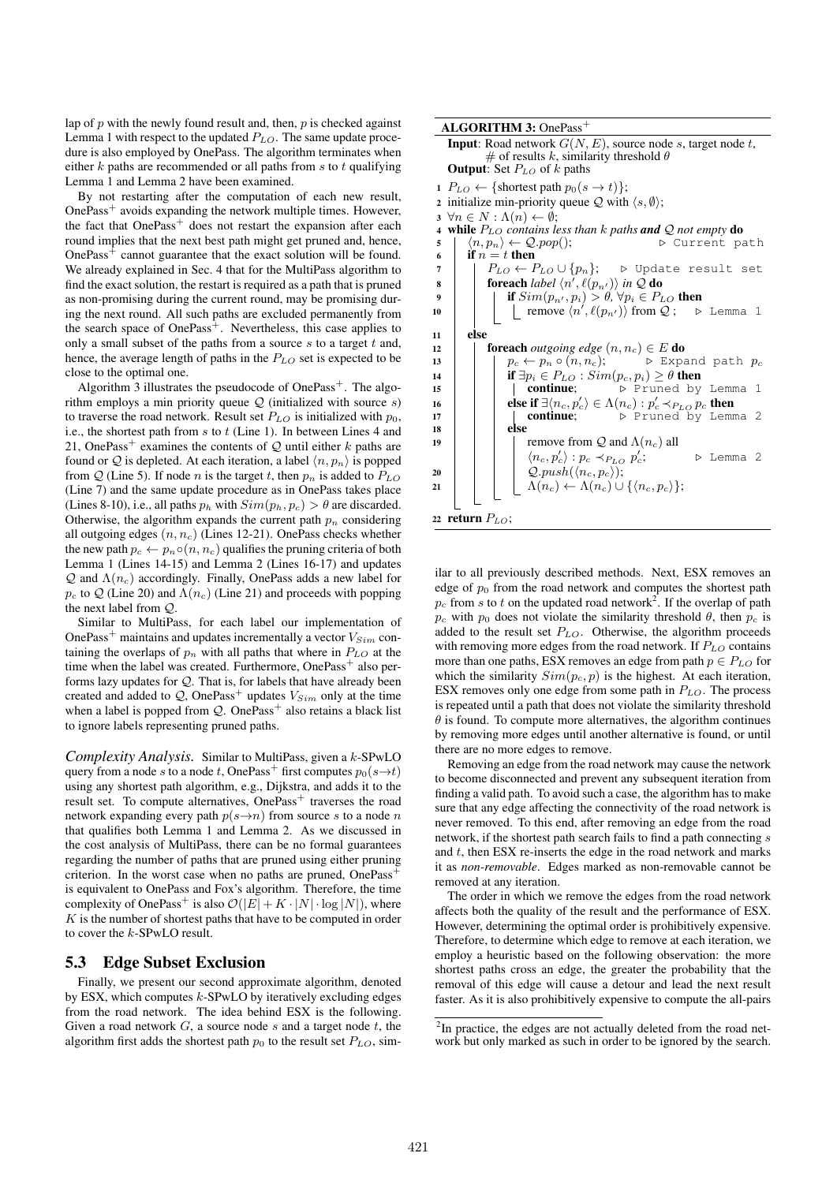lap of  $p$  with the newly found result and, then,  $p$  is checked against Lemma 1 with respect to the updated  $P_{LO}$ . The same update procedure is also employed by OnePass. The algorithm terminates when either  $k$  paths are recommended or all paths from  $s$  to  $t$  qualifying Lemma 1 and Lemma 2 have been examined.

By not restarting after the computation of each new result,  $OnePass<sup>+</sup>$  avoids expanding the network multiple times. However, the fact that OnePass<sup>+</sup> does not restart the expansion after each round implies that the next best path might get pruned and, hence,  $OnePass<sup>+</sup>$  cannot guarantee that the exact solution will be found. We already explained in Sec. 4 that for the MultiPass algorithm to find the exact solution, the restart is required as a path that is pruned as non-promising during the current round, may be promising during the next round. All such paths are excluded permanently from the search space of  $OnePass<sup>+</sup>$ . Nevertheless, this case applies to only a small subset of the paths from a source  $s$  to a target  $t$  and, hence, the average length of paths in the  $P_{LO}$  set is expected to be close to the optimal one.

Algorithm 3 illustrates the pseudocode of  $OnePass<sup>+</sup>$ . The algorithm employs a min priority queue  $Q$  (initialized with source  $s$ ) to traverse the road network. Result set  $P_{LO}$  is initialized with  $p_0$ , i.e., the shortest path from  $s$  to  $t$  (Line 1). In between Lines 4 and 21, OnePass<sup>+</sup> examines the contents of Q until either k paths are found or Q is depleted. At each iteration, a label  $\langle n, p_n \rangle$  is popped from  $Q$  (Line 5). If node *n* is the target *t*, then  $p_n$  is added to  $P_{LO}$ (Line 7) and the same update procedure as in OnePass takes place (Lines 8-10), i.e., all paths  $p_h$  with  $Sim(p_h, p_c) > \theta$  are discarded. Otherwise, the algorithm expands the current path  $p_n$  considering all outgoing edges  $(n, n_c)$  (Lines 12-21). OnePass checks whether the new path  $p_c \leftarrow p_n \circ (n, n_c)$  qualifies the pruning criteria of both Lemma 1 (Lines 14-15) and Lemma 2 (Lines 16-17) and updates  $Q$  and  $\Lambda(n_c)$  accordingly. Finally, OnePass adds a new label for  $p_c$  to Q (Line 20) and  $\Lambda(n_c)$  (Line 21) and proceeds with popping the next label from Q.

Similar to MultiPass, for each label our implementation of OnePass<sup>+</sup> maintains and updates incrementally a vector  $V_{Sim}$  containing the overlaps of  $p_n$  with all paths that where in  $P_{LO}$  at the time when the label was created. Furthermore,  $OnePass<sup>+</sup>$  also performs lazy updates for  $Q$ . That is, for labels that have already been created and added to  $Q$ , OnePass<sup>+</sup> updates  $V_{Sim}$  only at the time when a label is popped from  $Q$ . OnePass<sup>+</sup> also retains a black list to ignore labels representing pruned paths.

*Complexity Analysis.* Similar to MultiPass, given a k-SPwLO query from a node s to a node t, OnePass<sup>+</sup> first computes  $p_0(s\rightarrow t)$ using any shortest path algorithm, e.g., Dijkstra, and adds it to the result set. To compute alternatives, OnePass<sup>+</sup> traverses the road network expanding every path  $p(s \rightarrow n)$  from source s to a node n that qualifies both Lemma 1 and Lemma 2. As we discussed in the cost analysis of MultiPass, there can be no formal guarantees regarding the number of paths that are pruned using either pruning criterion. In the worst case when no paths are pruned, OnePass<sup>+</sup> is equivalent to OnePass and Fox's algorithm. Therefore, the time complexity of OnePass<sup>+</sup> is also  $\mathcal{O}(|E| + K \cdot |N| \cdot \log |N|)$ , where  $K$  is the number of shortest paths that have to be computed in order to cover the k-SPwLO result.

#### 5.3 Edge Subset Exclusion

Finally, we present our second approximate algorithm, denoted by ESX, which computes  $k$ -SPwLO by iteratively excluding edges from the road network. The idea behind ESX is the following. Given a road network  $G$ , a source node  $s$  and a target node  $t$ , the algorithm first adds the shortest path  $p_0$  to the result set  $P_{LO}$ , sim-

#### ALGORITHM 3: OnePass<sup>+</sup>

|        | <b>Input:</b> Road network $G(N, E)$ , source node s, target node t,<br>$\#$ of results k, similarity threshold $\theta$<br><b>Output:</b> Set $P_{LQ}$ of k paths |
|--------|--------------------------------------------------------------------------------------------------------------------------------------------------------------------|
|        | $1 P_{LO} \leftarrow \{ \text{shortest path } p_0(s \rightarrow t) \};$<br>2 initialize min-priority queue $Q$ with $\langle s, \emptyset \rangle$ ;               |
| 3<br>4 | $\forall n \in N : \Lambda(n) \leftarrow \emptyset;$<br>while $P_{LO}$ contains less than k paths and Q not empty do                                               |
| 5<br>6 | $\langle n, p_n \rangle \leftarrow Q.pop();$<br>▷ Current path<br>if $n = t$ then                                                                                  |
| 7      | $P_{LO} \leftarrow P_{LO} \cup \{p_n\};$ $\triangleright$ Update result set                                                                                        |
| 8<br>9 | <b>foreach</b> label $\langle n', \ell(p_{n'}) \rangle$ in $\mathcal Q$ <b>do</b><br>if $Sim(p_{n'}, p_i) > \theta$ , $\forall p_i \in P_{LO}$ then                |
| 10     | remove $\langle n', \ell(p_{n'}) \rangle$ from $\mathcal{Q}$ ; $\triangleright$ Lemma 1                                                                            |
| 11     | else                                                                                                                                                               |
| 12     | foreach outgoing edge $(n, n_c) \in E$ do                                                                                                                          |
| 13     | $p_c \leftarrow p_n \circ (n, n_c);$ > Expand path $p_c$                                                                                                           |
| 14     | if $\exists p_i \in P_{LO} : Sim(p_c, p_i) \geq \theta$ then                                                                                                       |
| 15     | continue; b Pruned by Lemma 1                                                                                                                                      |
| 16     | else if $\exists \langle n_c, p_c' \rangle \in \Lambda(n_c) : p_c' \prec_{P_{LO}} p_c$ then                                                                        |
| 17     | <b>continue</b> ; $\triangleright$ Pruned by Lemma 2<br>else                                                                                                       |
| 18     |                                                                                                                                                                    |
| 19     | remove from Q and $\Lambda(n_c)$ all                                                                                                                               |
|        | $\langle n_c, p_c' \rangle : p_c \prec_{P_{LO}} p_c'$ ;<br>⊳ Lemma 2                                                                                               |
| 20     | $Q.push(\langle n_c, p_c \rangle);$                                                                                                                                |
| 21     | $\vert \Lambda(n_c) \leftarrow \Lambda(n_c) \cup \{ \langle n_c, p_c \rangle \};$                                                                                  |
|        |                                                                                                                                                                    |
|        | 22 return $P_{LO}$ ;                                                                                                                                               |

ilar to all previously described methods. Next, ESX removes an edge of  $p_0$  from the road network and computes the shortest path  $p_c$  from s to t on the updated road network<sup>2</sup>. If the overlap of path  $p_c$  with  $p_0$  does not violate the similarity threshold  $\theta$ , then  $p_c$  is added to the result set  $P_{LO}$ . Otherwise, the algorithm proceeds with removing more edges from the road network. If  $P_{LO}$  contains more than one paths, ESX removes an edge from path  $p \in P_{LO}$  for which the similarity  $Sim(p_c, p)$  is the highest. At each iteration, ESX removes only one edge from some path in  $P_{LO}$ . The process is repeated until a path that does not violate the similarity threshold  $\theta$  is found. To compute more alternatives, the algorithm continues by removing more edges until another alternative is found, or until there are no more edges to remove.

Removing an edge from the road network may cause the network to become disconnected and prevent any subsequent iteration from finding a valid path. To avoid such a case, the algorithm has to make sure that any edge affecting the connectivity of the road network is never removed. To this end, after removing an edge from the road network, if the shortest path search fails to find a path connecting s and  $t$ , then ESX re-inserts the edge in the road network and marks it as *non-removable*. Edges marked as non-removable cannot be removed at any iteration.

The order in which we remove the edges from the road network affects both the quality of the result and the performance of ESX. However, determining the optimal order is prohibitively expensive. Therefore, to determine which edge to remove at each iteration, we employ a heuristic based on the following observation: the more shortest paths cross an edge, the greater the probability that the removal of this edge will cause a detour and lead the next result faster. As it is also prohibitively expensive to compute the all-pairs

<sup>&</sup>lt;sup>2</sup>In practice, the edges are not actually deleted from the road network but only marked as such in order to be ignored by the search.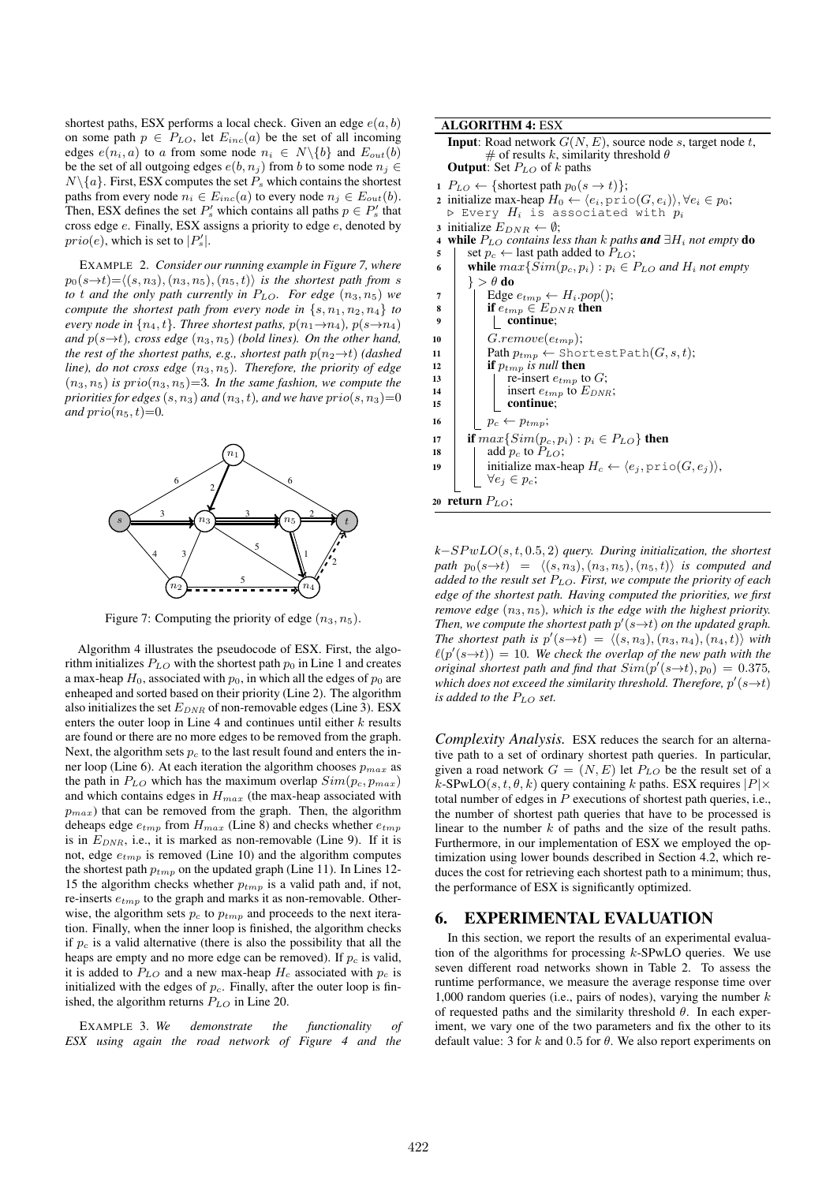shortest paths, ESX performs a local check. Given an edge  $e(a, b)$ on some path  $p \in P_{LO}$ , let  $E_{inc}(a)$  be the set of all incoming edges  $e(n_i, a)$  to a from some node  $n_i \in N \setminus \{b\}$  and  $E_{out}(b)$ be the set of all outgoing edges  $e(b, n_j)$  from b to some node  $n_j \in$  $N\setminus\{a\}$ . First, ESX computes the set  $P_s$  which contains the shortest paths from every node  $n_i \in E_{inc}(a)$  to every node  $n_i \in E_{out}(b)$ . Then, ESX defines the set  $P'_s$  which contains all paths  $p \in P'_s$  that cross edge e. Finally, ESX assigns a priority to edge e, denoted by  $prio(e)$ , which is set to  $|P'_s|$ .

EXAMPLE 2. *Consider our running example in Figure 7, where*  $p_0(s\rightarrow t) = \langle (s, n_3), (n_3, n_5), (n_5, t) \rangle$  *is the shortest path from s to t* and the only path currently in  $P_{LO}$ . For edge  $(n_3, n_5)$  *we compute the shortest path from every node in*  $\{s, n_1, n_2, n_4\}$  *to every node in*  $\{n_4, t\}$ *. Three shortest paths,*  $p(n_1 \rightarrow n_4)$ *,*  $p(s \rightarrow n_4)$ *and*  $p(s\rightarrow t)$ *, cross edge*  $(n_3, n_5)$  *(bold lines). On the other hand, the rest of the shortest paths, e.g., shortest path*  $p(n_2 \rightarrow t)$  *(dashed*) *line), do not cross edge* (n3, n5)*. Therefore, the priority of edge*  $(n_3, n_5)$  *is prio* $(n_3, n_5) = 3$ *. In the same fashion, we compute the priorities for edges*  $(s, n_3)$  *and*  $(n_3, t)$ *, and we have prio* $(s, n_3) = 0$ *and*  $prio(n_5, t) = 0$ *.* 



Figure 7: Computing the priority of edge  $(n_3, n_5)$ .

Algorithm 4 illustrates the pseudocode of ESX. First, the algorithm initializes  $P_{LO}$  with the shortest path  $p_0$  in Line 1 and creates a max-heap  $H_0$ , associated with  $p_0$ , in which all the edges of  $p_0$  are enheaped and sorted based on their priority (Line 2). The algorithm also initializes the set  $E_{DNR}$  of non-removable edges (Line 3). ESX enters the outer loop in Line 4 and continues until either  $k$  results are found or there are no more edges to be removed from the graph. Next, the algorithm sets  $p_c$  to the last result found and enters the inner loop (Line 6). At each iteration the algorithm chooses  $p_{max}$  as the path in  $P_{LO}$  which has the maximum overlap  $Sim(p_c, p_{max})$ and which contains edges in  $H_{max}$  (the max-heap associated with  $p_{max}$ ) that can be removed from the graph. Then, the algorithm deheaps edge  $e_{tmp}$  from  $H_{max}$  (Line 8) and checks whether  $e_{tmp}$ is in  $E_{DNR}$ , i.e., it is marked as non-removable (Line 9). If it is not, edge  $e_{tmp}$  is removed (Line 10) and the algorithm computes the shortest path  $p_{tmp}$  on the updated graph (Line 11). In Lines 12-15 the algorithm checks whether  $p_{tmp}$  is a valid path and, if not, re-inserts  $e_{tmp}$  to the graph and marks it as non-removable. Otherwise, the algorithm sets  $p_c$  to  $p_{tmp}$  and proceeds to the next iteration. Finally, when the inner loop is finished, the algorithm checks if  $p_c$  is a valid alternative (there is also the possibility that all the heaps are empty and no more edge can be removed). If  $p_c$  is valid, it is added to  $P_{LO}$  and a new max-heap  $H_c$  associated with  $p_c$  is initialized with the edges of  $p<sub>c</sub>$ . Finally, after the outer loop is finished, the algorithm returns  $P_{LO}$  in Line 20.

EXAMPLE 3. *We demonstrate the functionality of ESX using again the road network of Figure 4 and the*

#### ALGORITHM 4: ESX

```
Input: Road network G(N, E), source node s, target node t,
       # of results k, similarity threshold \thetaOutput: Set P_{LO} of k paths
```

```
1 P_{LO} \leftarrow \{\text{shortest path } p_0(s \rightarrow t)\};
```

```
2 initialize max-heap H_0 \leftarrow \langle e_i, \text{prio}(G, e_i) \rangle, \forall e_i \in p_0;\triangleright Every H_i is associated with p_i
```

```
3 initialize E_{DNR} \leftarrow \emptyset;
```
- 4 **while**  $P_{LO}$  *contains less than k paths* **and** ∃H<sub>i</sub> *not empty* **do** 5 | set  $p_c$  ← last path added to  $P_{LO}$ ;
- set  $p_c \leftarrow$  last path added to  $P_{LO}$ ;

```
6 while max\{Sim(p_c, p_i) : p_i \in P_{LO} \text{ and } H_i \text{ not empty}\}\} > \theta do
```
- 7 Edge  $e_{tmp} \leftarrow H_i.pop();$ <br>**8** if  $e_{tmp} \in E_{DNE}$  then
- 8 if  $e_{tmp} \in E_{DNR}$  then

```
9 \mid \cdot \mid continue;
```

```
10 \Big| G.remove(e_{tmp});
```
- 11 Path  $p_{tmp} \leftarrow$  ShortestPath $(G, s, t);$ <br> **if**  $p_{tmp}$  is null **then**
- $\begin{array}{c|c} \n\textbf{12} & \textbf{if } p_{tmp} \text{ is null then} \\
\hline\n\textbf{13} & \textbf{if } p_{temp} \text{ is null then} \\
\end{array}$ 
	- re-insert  $e_{tmn}$  to G;
- 14 | | insert  $e_{tmp}$  to  $E_{DNR}$ ;<br>15

continue;

- 16 |  $p_c \leftarrow p_{tmp};$
- 17 **if**  $max\{Sim(p_c, p_i) : p_i \in P_{LO}\}$  then
- 18  $\parallel$  add  $p_c$  to  $\overline{P_{LO}}$ ;
- 19 | initialize max-heap  $H_c \leftarrow \langle e_i, \text{prio}(G, e_i) \rangle$ ,  $\forall e_j \in p_c;$



*k*−SP wLO(s, t, 0.5, 2) *query. During initialization, the shortest path*  $p_0(s\rightarrow t) = \langle (s, n_3), (n_3, n_5), (n_5, t) \rangle$  *is computed and added to the result set* PLO*. First, we compute the priority of each edge of the shortest path. Having computed the priorities, we first remove edge*  $(n_3, n_5)$ *, which is the edge with the highest priority.* Then, we compute the shortest path  $p'(s\rightarrow t)$  on the updated graph. *The shortest path is*  $p'(s \rightarrow t) = \langle (s, n_3), (n_3, n_4), (n_4, t) \rangle$  *with*  $\ell(p'(s\rightarrow t)) = 10$ . We check the overlap of the new path with the *original shortest path and find that*  $Sim(p'(s\rightarrow t), p_0) = 0.375$ , which does not exceed the similarity threshold. Therefore,  $p'(s\rightarrow t)$ *is added to the* PLO *set.*

*Complexity Analysis.* ESX reduces the search for an alternative path to a set of ordinary shortest path queries. In particular, given a road network  $G = (N, E)$  let  $P_{LO}$  be the result set of a k-SPwLO(s, t,  $\theta$ , k) query containing k paths. ESX requires  $|P| \times$ total number of edges in  $P$  executions of shortest path queries, i.e., the number of shortest path queries that have to be processed is linear to the number  $k$  of paths and the size of the result paths. Furthermore, in our implementation of ESX we employed the optimization using lower bounds described in Section 4.2, which reduces the cost for retrieving each shortest path to a minimum; thus, the performance of ESX is significantly optimized.

## 6. EXPERIMENTAL EVALUATION

In this section, we report the results of an experimental evaluation of the algorithms for processing  $k$ -SPwLO queries. We use seven different road networks shown in Table 2. To assess the runtime performance, we measure the average response time over 1,000 random queries (i.e., pairs of nodes), varying the number  $k$ of requested paths and the similarity threshold  $\theta$ . In each experiment, we vary one of the two parameters and fix the other to its default value: 3 for k and 0.5 for  $\theta$ . We also report experiments on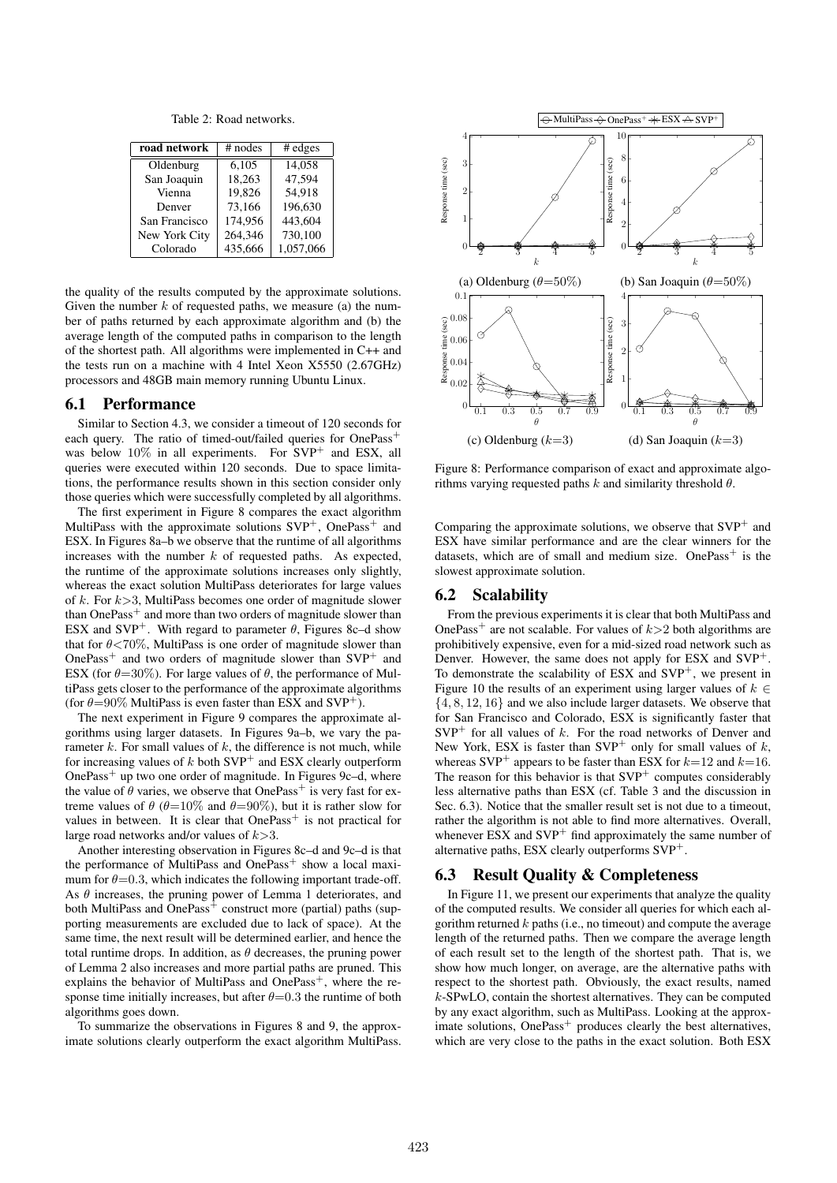Table 2: Road networks.

| road network  | $#$ nodes | # edges   |
|---------------|-----------|-----------|
| Oldenburg     | 6.105     | 14.058    |
| San Joaquin   | 18,263    | 47.594    |
| Vienna        | 19.826    | 54.918    |
| Denver        | 73,166    | 196.630   |
| San Francisco | 174.956   | 443.604   |
| New York City | 264,346   | 730,100   |
| Colorado      | 435.666   | 1,057,066 |

the quality of the results computed by the approximate solutions. Given the number  $k$  of requested paths, we measure (a) the number of paths returned by each approximate algorithm and (b) the average length of the computed paths in comparison to the length of the shortest path. All algorithms were implemented in C++ and the tests run on a machine with 4 Intel Xeon X5550 (2.67GHz) processors and 48GB main memory running Ubuntu Linux.

#### 6.1 Performance

Similar to Section 4.3, we consider a timeout of 120 seconds for each query. The ratio of timed-out/failed queries for OnePass<sup>+</sup> was below  $10\%$  in all experiments. For SVP<sup>+</sup> and ESX, all queries were executed within 120 seconds. Due to space limitations, the performance results shown in this section consider only those queries which were successfully completed by all algorithms.

The first experiment in Figure 8 compares the exact algorithm MultiPass with the approximate solutions  $SVP^+$ , OnePass<sup>+</sup> and ESX. In Figures 8a–b we observe that the runtime of all algorithms increases with the number  $k$  of requested paths. As expected, the runtime of the approximate solutions increases only slightly, whereas the exact solution MultiPass deteriorates for large values of k. For  $k > 3$ , MultiPass becomes one order of magnitude slower than OnePass<sup>+</sup> and more than two orders of magnitude slower than ESX and SVP<sup>+</sup>. With regard to parameter  $\theta$ , Figures 8c-d show that for  $\theta$ <70%, MultiPass is one order of magnitude slower than  $OnePass<sup>+</sup>$  and two orders of magnitude slower than  $SVP<sup>+</sup>$  and ESX (for  $\theta = 30\%$ ). For large values of  $\theta$ , the performance of MultiPass gets closer to the performance of the approximate algorithms (for  $\theta$ =90% MultiPass is even faster than ESX and SVP<sup>+</sup>).

The next experiment in Figure 9 compares the approximate algorithms using larger datasets. In Figures 9a–b, we vary the parameter k. For small values of k, the difference is not much, while for increasing values of  $k$  both  $SVP^+$  and ESX clearly outperform One $Pass<sup>+</sup>$  up two one order of magnitude. In Figures 9c–d, where the value of  $\theta$  varies, we observe that OnePass<sup>+</sup> is very fast for extreme values of  $\theta$  ( $\theta=10\%$  and  $\theta=90\%$ ), but it is rather slow for values in between. It is clear that  $OnePass<sup>+</sup>$  is not practical for large road networks and/or values of  $k > 3$ .

Another interesting observation in Figures 8c–d and 9c–d is that the performance of MultiPass and OnePass<sup>+</sup> show a local maximum for  $\theta = 0.3$ , which indicates the following important trade-off. As  $\theta$  increases, the pruning power of Lemma 1 deteriorates, and both MultiPass and OnePass<sup>+</sup> construct more (partial) paths (supporting measurements are excluded due to lack of space). At the same time, the next result will be determined earlier, and hence the total runtime drops. In addition, as  $\theta$  decreases, the pruning power of Lemma 2 also increases and more partial paths are pruned. This explains the behavior of MultiPass and  $OnePass<sup>+</sup>$ , where the response time initially increases, but after  $\theta = 0.3$  the runtime of both algorithms goes down.

To summarize the observations in Figures 8 and 9, the approximate solutions clearly outperform the exact algorithm MultiPass.



Figure 8: Performance comparison of exact and approximate algorithms varying requested paths  $k$  and similarity threshold  $\theta$ .

Comparing the approximate solutions, we observe that  $SVP<sup>+</sup>$  and ESX have similar performance and are the clear winners for the datasets, which are of small and medium size. One  $Pass<sup>+</sup>$  is the slowest approximate solution.

#### 6.2 Scalability

From the previous experiments it is clear that both MultiPass and OnePass<sup>+</sup> are not scalable. For values of  $k>2$  both algorithms are prohibitively expensive, even for a mid-sized road network such as Denver. However, the same does not apply for ESX and  $SVP^+$ . To demonstrate the scalability of  $ESX$  and  $SVP<sup>+</sup>$ , we present in Figure 10 the results of an experiment using larger values of  $k \in$  $\{4, 8, 12, 16\}$  and we also include larger datasets. We observe that for San Francisco and Colorado, ESX is significantly faster that  $SVP<sup>+</sup>$  for all values of k. For the road networks of Denver and New York, ESX is faster than  $SVP^+$  only for small values of  $k$ , whereas  $SVP^+$  appears to be faster than ESX for  $k=12$  and  $k=16$ . The reason for this behavior is that  $SVP<sup>+</sup>$  computes considerably less alternative paths than ESX (cf. Table 3 and the discussion in Sec. 6.3). Notice that the smaller result set is not due to a timeout, rather the algorithm is not able to find more alternatives. Overall, whenever  $ESX$  and  $SVP<sup>+</sup>$  find approximately the same number of alternative paths, ESX clearly outperforms  $SVP<sup>+</sup>$ .

## 6.3 Result Quality & Completeness

In Figure 11, we present our experiments that analyze the quality of the computed results. We consider all queries for which each algorithm returned  $k$  paths (i.e., no timeout) and compute the average length of the returned paths. Then we compare the average length of each result set to the length of the shortest path. That is, we show how much longer, on average, are the alternative paths with respect to the shortest path. Obviously, the exact results, named k-SPwLO, contain the shortest alternatives. They can be computed by any exact algorithm, such as MultiPass. Looking at the approximate solutions, OnePass<sup>+</sup> produces clearly the best alternatives, which are very close to the paths in the exact solution. Both ESX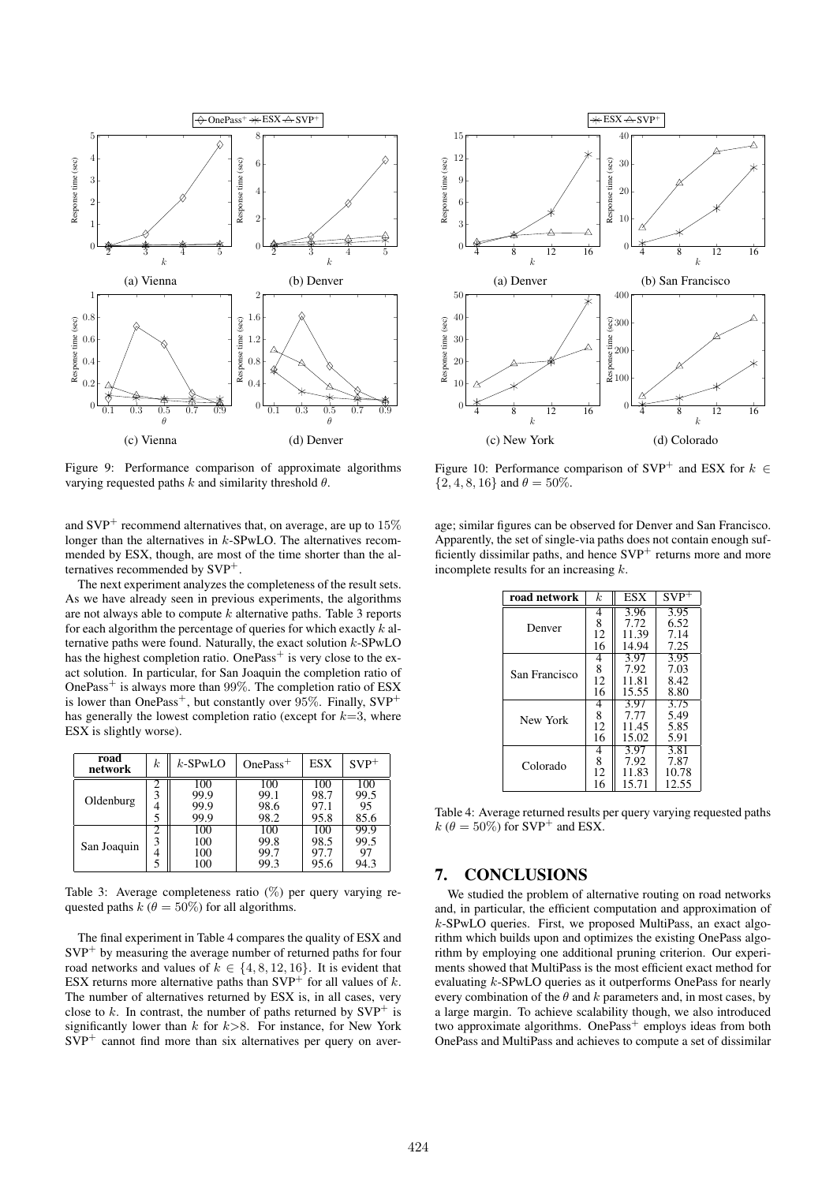

Figure 9: Performance comparison of approximate algorithms varying requested paths  $k$  and similarity threshold  $\theta$ .

and  $SVP<sup>+</sup>$  recommend alternatives that, on average, are up to 15% longer than the alternatives in k-SPwLO. The alternatives recommended by ESX, though, are most of the time shorter than the alternatives recommended by SVP<sup>+</sup>.

The next experiment analyzes the completeness of the result sets. As we have already seen in previous experiments, the algorithms are not always able to compute  $k$  alternative paths. Table 3 reports for each algorithm the percentage of queries for which exactly  $k$  alternative paths were found. Naturally, the exact solution  $k$ -SPwLO has the highest completion ratio. One  $Pass<sup>+</sup>$  is very close to the exact solution. In particular, for San Joaquin the completion ratio of  $OnePass<sup>+</sup>$  is always more than 99%. The completion ratio of ESX is lower than OnePass<sup>+</sup>, but constantly over  $95\%$ . Finally,  $SVP^+$ has generally the lowest completion ratio (except for  $k=3$ , where ESX is slightly worse).

| road<br>network | $\boldsymbol{k}$ | $k$ -SPwLO                  | $OnePass+$                  | ESX                         | $SVP^+$                    |
|-----------------|------------------|-----------------------------|-----------------------------|-----------------------------|----------------------------|
| Oldenburg       | 3<br>4           | 100<br>99.9<br>99.9<br>99.9 | 100<br>99.1<br>98.6<br>98.2 | 100<br>98.7<br>97.1<br>95.8 | 100<br>99.5<br>95<br>85.6  |
| San Joaquin     | 3<br>4           | 100<br>100<br>100<br>100    | 100<br>99.8<br>99.7<br>99.3 | 100<br>98.5<br>97.7<br>95.6 | 99.9<br>99.5<br>97<br>94.3 |

Table 3: Average completeness ratio (%) per query varying requested paths  $k (\theta = 50\%)$  for all algorithms.

The final experiment in Table 4 compares the quality of ESX and  $SVP<sup>+</sup>$  by measuring the average number of returned paths for four road networks and values of  $k \in \{4, 8, 12, 16\}$ . It is evident that ESX returns more alternative paths than  $SVP<sup>+</sup>$  for all values of k. The number of alternatives returned by ESX is, in all cases, very close to k. In contrast, the number of paths returned by  $SVP^+$  is significantly lower than  $k$  for  $k>8$ . For instance, for New York  $SVP^+$  cannot find more than six alternatives per query on aver-



Figure 10: Performance comparison of SVP<sup>+</sup> and ESX for  $k \in$  $\{2, 4, 8, 16\}$  and  $\theta = 50\%$ .

age; similar figures can be observed for Denver and San Francisco. Apparently, the set of single-via paths does not contain enough sufficiently dissimilar paths, and hence SVP<sup>+</sup> returns more and more incomplete results for an increasing  $k$ .

| road network  | k. | <b>ESX</b> | $SVP+$ |
|---------------|----|------------|--------|
|               | 4  | 3.96       | 3.95   |
| Denver        | 8  | 7.72       | 6.52   |
|               | 12 | 11.39      | 7.14   |
|               | 16 | 14.94      | 7.25   |
|               | 4  | 3.97       | 3.95   |
| San Francisco | 8  | 7.92       | 7.03   |
|               | 12 | 11.81      | 8.42   |
|               | 16 | 15.55      | 8.80   |
|               | 4  | 3.97       | 3.75   |
| New York      | 8  | 7.77       | 5.49   |
|               | 12 | 11.45      | 5.85   |
|               | 16 | 15.02      | 5.91   |
|               | 4  | 3.97       | 3.81   |
| Colorado      | 8  | 7.92       | 7.87   |
|               | 12 | 11.83      | 10.78  |
|               | 16 | 15.71      | 12.55  |

Table 4: Average returned results per query varying requested paths  $k$  ( $\theta = 50\%$ ) for SVP<sup>+</sup> and ESX.

#### 7. CONCLUSIONS

We studied the problem of alternative routing on road networks and, in particular, the efficient computation and approximation of k-SPwLO queries. First, we proposed MultiPass, an exact algorithm which builds upon and optimizes the existing OnePass algorithm by employing one additional pruning criterion. Our experiments showed that MultiPass is the most efficient exact method for evaluating k-SPwLO queries as it outperforms OnePass for nearly every combination of the  $\theta$  and k parameters and, in most cases, by a large margin. To achieve scalability though, we also introduced two approximate algorithms. OnePass<sup>+</sup> employs ideas from both OnePass and MultiPass and achieves to compute a set of dissimilar